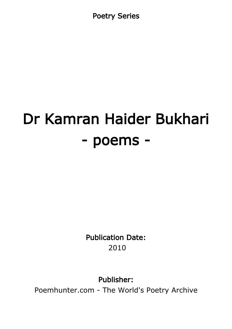Poetry Series

# Dr Kamran Haider Bukhari - poems -

Publication Date: 2010

Publisher:

Poemhunter.com - The World's Poetry Archive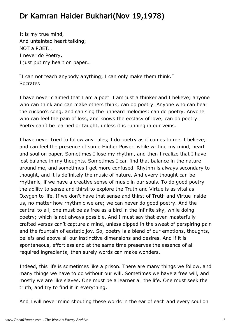# Dr Kamran Haider Bukhari(Nov 19,1978)

It is my true mind, And untainted heart talking; NOT a POET… I never do Poetry, I just put my heart on paper…

"I can not teach anybody anything; I can only make them think." **Socrates** 

I have never claimed that I am a poet. I am just a thinker and I believe; anyone who can think and can make others think; can do poetry. Anyone who can hear the cuckoo's song, and can sing the unheard melodies; can do poetry. Anyone who can feel the pain of loss, and knows the ecstasy of love; can do poetry. Poetry can't be learned or taught, unless it is running in our veins.

I have never tried to follow any rules; I do poetry as it comes to me. I believe; and can feel the presence of some Higher Power, while writing my mind, heart and soul on paper. Sometimes I lose my rhythm, and then I realize that I have lost balance in my thoughts. Sometimes I can find that balance in the nature around me, and sometimes I get more confused. Rhythm is always secondary to thought, and it is definitely the music of nature. And every thought can be rhythmic, if we have a creative sense of music in our souls. To do good poetry the ability to sense and thirst to explore the Truth and Virtue is as vital as Oxygen to life. If we don't have that sense and thirst of Truth and Virtue inside us, no matter how rhythmic we are; we can never do good poetry. And the central to all; one must be as free as a bird in the infinite sky, while doing poetry; which is not always possible. And I must say that even masterfully crafted verses can't capture a mind, unless dipped in the sweat of perspiring pain and the fountain of ecstatic joy. So, poetry is a blend of our emotions, thoughts, beliefs and above all our instinctive dimensions and desires. And if it is spontaneous, effortless and at the same time preserves the essence of all required ingredients; then surely words can make wonders.

Indeed, this life is sometimes like a prison. There are many things we follow, and many things we have to do without our will. Sometimes we have a free will, and mostly we are like slaves. One must be a learner all the life. One must seek the truth, and try to find it in everything.

And I will never mind shouting these words in the ear of each and every soul on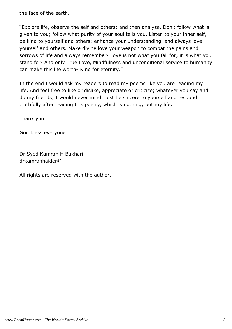the face of the earth.

"Explore life, observe the self and others; and then analyze. Don't follow what is given to you; follow what purity of your soul tells you. Listen to your inner self, be kind to yourself and others; enhance your understanding, and always love yourself and others. Make divine love your weapon to combat the pains and sorrows of life and always remember- Love is not what you fall for; it is what you stand for- And only True Love, Mindfulness and unconditional service to humanity can make this life worth-living for eternity."

In the end I would ask my readers to read my poems like you are reading my life. And feel free to like or dislike, appreciate or criticize; whatever you say and do my friends; I would never mind. Just be sincere to yourself and respond truthfully after reading this poetry, which is nothing; but my life.

Thank you

God bless everyone

Dr Syed Kamran H Bukhari drkamranhaider@

All rights are reserved with the author.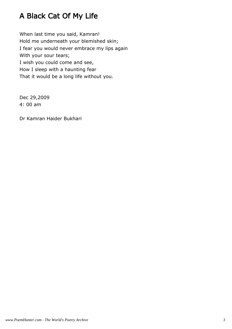# A Black Cat Of My Life

When last time you said, Kamran! Hold me underneath your blemished skin; I fear you would never embrace my lips again With your sour tears; I wish you could come and see, How I sleep with a haunting fear That it would be a long life without you.

Dec 29,2009 4: 00 am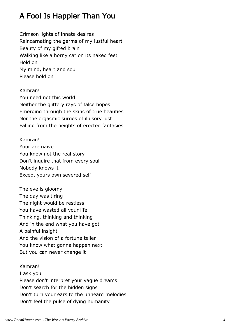# A Fool Is Happier Than You

Crimson lights of innate desires Reincarnating the germs of my lustful heart Beauty of my gifted brain Walking like a horny cat on its naked feet Hold on My mind, heart and soul Please hold on

Kamran! You need not this world Neither the glittery rays of false hopes Emerging through the skins of true beauties Nor the orgasmic surges of illusory lust Falling from the heights of erected fantasies

Kamran! Your are naïve You know not the real story Don't inquire that from every soul Nobody knows it Except yours own severed self

The eve is gloomy The day was tiring The night would be restless You have wasted all your life Thinking, thinking and thinking And in the end what you have got A painful insight And the vision of a fortune teller You know what gonna happen next But you can never change it

Kamran! I ask you Please don't interpret your vague dreams Don't search for the hidden signs Don't turn your ears to the unheard melodies Don't feel the pulse of dying humanity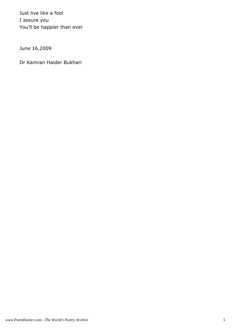Just live like a fool I assure you You'll be happier than ever

June 16,2009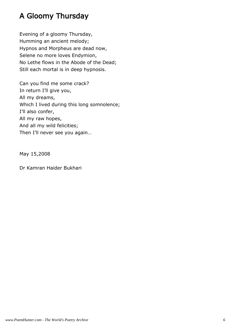# A Gloomy Thursday

Evening of a gloomy Thursday, Humming an ancient melody; Hypnos and Morpheus are dead now, Selene no more loves Endymion, No Lethe flows in the Abode of the Dead; Still each mortal is in deep hypnosis.

Can you find me some crack? In return I'll give you, All my dreams, Which I lived during this long somnolence; I'll also confer, All my raw hopes, And all my wild felicities; Then I'll never see you again…

May 15,2008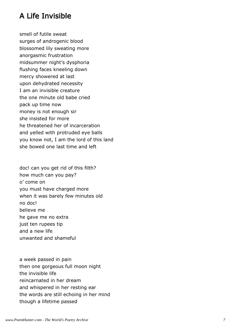#### A Life Invisible

smell of futile sweat surges of androgenic blood blossomed lily sweating more anorgasmic frustration midsummer night's dysphoria flushing faces kneeling down mercy showered at last upon dehydrated necessity I am an invisible creature the one minute old babe cried pack up time now money is not enough sir she insisted for more he threatened her of incarceration and yelled with protruded eye balls you know not, I am the lord of this land she bowed one last time and left

doc! can you get rid of this filth? how much can you pay? o' come on you must have charged more when it was barely few minutes old no doc! believe me he gave me no extra just ten rupees tip and a new life unwanted and shameful

a week passed in pain then one gorgeous full moon night the invisible life reincarnated in her dream and whispered in her resting ear the words are still echoing in her mind though a lifetime passed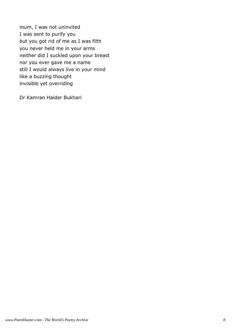mum, I was not uninvited I was sent to purify you but you got rid of me as I was filth you never held me in your arms neither did I suckled upon your breast nor you ever gave me a name still I would always live in your mind like a buzzing thought invisible yet overriding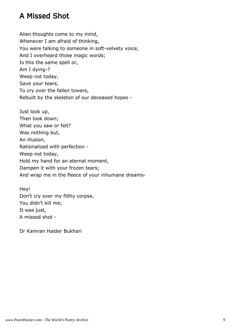#### A Missed Shot

Alien thoughts come to my mind, Whenever I am afraid of thinking, You were talking to someone in soft-velvety voice, And I overheard those magic words; Is this the same spell or, Am I dying-? Weep not today, Save your tears, To cry over the fallen towers, Rebuilt by the skeleton of our deceased hopes -

Just look up, Then look down; What you saw or felt? Was nothing but, An illusion, Rationalized with perfection - Weep not today, Hold my hand for an eternal moment, Dampen it with your frozen tears; And wrap me in the fleece of your inhumane dreams-

Hey! Don't cry over my filthy corpse, You didn't kill me; It was just, A missed shot -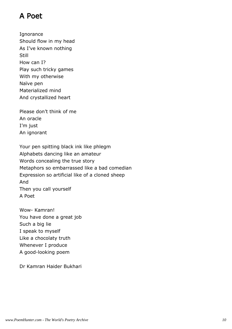#### A Poet

Ignorance Should flow in my head As I've known nothing Still How can I? Play such tricky games With my otherwise Naïve pen Materialized mind And crystallized heart

Please don't think of me An oracle I'm just An ignorant

Your pen spitting black ink like phlegm Alphabets dancing like an amateur Words concealing the true story Metaphors so embarrassed like a bad comedian Expression so artificial like of a cloned sheep And Then you call yourself A Poet

Wow- Kamran! You have done a great job Such a big lie I speak to myself Like a chocolaty truth Whenever I produce A good-looking poem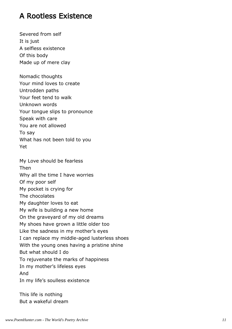#### A Rootless Existence

Severed from self It is just A selfless existence Of this body Made up of mere clay

Nomadic thoughts Your mind loves to create Untrodden paths Your feet tend to walk Unknown words Your tongue slips to pronounce Speak with care You are not allowed To say What has not been told to you Yet

My Love should be fearless Then Why all the time I have worries Of my poor self My pocket is crying for The chocolates My daughter loves to eat My wife is building a new home On the graveyard of my old dreams My shoes have grown a little older too Like the sadness in my mother's eyes I can replace my middle-aged lusterless shoes With the young ones having a pristine shine But what should I do To rejuvenate the marks of happiness In my mother's lifeless eyes And In my life's soulless existence

This life is nothing But a wakeful dream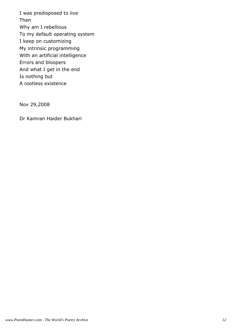I was predisposed to live Then Why am I rebellious To my default operating system I keep on customizing My intrinsic programming With an artificial intelligence Errors and bloopers And what I get in the end Is nothing but A rootless existence

Nov 29,2008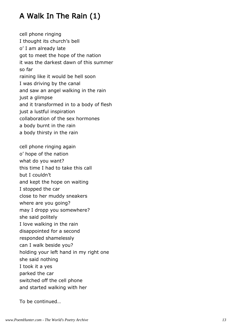# A Walk In The Rain (1)

cell phone ringing I thought its church's bell o' I am already late got to meet the hope of the nation it was the darkest dawn of this summer so far raining like it would be hell soon I was driving by the canal and saw an angel walking in the rain just a glimpse and it transformed in to a body of flesh just a lustful inspiration collaboration of the sex hormones a body burnt in the rain a body thirsty in the rain cell phone ringing again o' hope of the nation what do you want? this time I had to take this call but I couldn't and kept the hope on waiting I stopped the car close to her muddy sneakers where are you going? may I dropp you somewhere? she said politely I love walking in the rain disappointed for a second responded shamelessly can I walk beside you? holding your left hand in my right one she said nothing I took it a yes

parked the car

switched off the cell phone

and started walking with her

To be continued…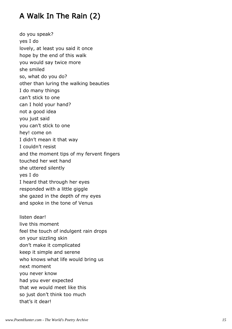# A Walk In The Rain (2)

do you speak? yes I do lovely, at least you said it once hope by the end of this walk you would say twice more she smiled so, what do you do? other than luring the walking beauties I do many things can't stick to one can I hold your hand? not a good idea you just said you can't stick to one hey! come on I didn't mean it that way I couldn't resist and the moment tips of my fervent fingers touched her wet hand she uttered silently yes I do I heard that through her eyes responded with a little giggle she gazed in the depth of my eyes and spoke in the tone of Venus listen dear! live this moment feel the touch of indulgent rain drops on your sizzling skin don't make it complicated keep it simple and serene who knows what life would bring us next moment you never know had you ever expected that we would meet like this so just don't think too much that's it dear!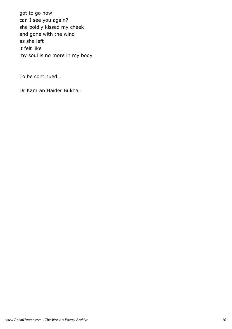got to go now can I see you again? she boldly kissed my cheek and gone with the wind as she left it felt like my soul is no more in my body

To be continued…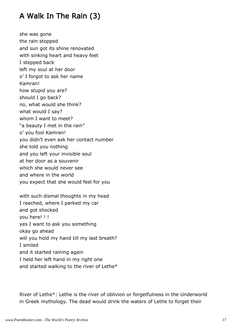# A Walk In The Rain (3)

she was gone the rain stopped and sun got its shine renovated with sinking heart and heavy feet I stepped back left my soul at her door o' I forgot to ask her name Kamran! how stupid you are? should I go back? no, what would she think? what would I say? whom I want to meet? "a beauty I met in the rain" o' you fool Kamran! you didn't even ask her contact number she told you nothing and you left your invisible soul at her door as a souvenir which she would never see and where in the world you expect that she would feel for you

with such dismal thoughts in my head I reached, where I parked my car and got shocked you here! ! ! yes I want to ask you something okay go ahead will you hold my hand till my last breath? I smiled and it started raining again I held her left hand in my right one and started walking to the river of Lethe\*

River of Lethe\*: Lethe is the river of oblivion or forgetfulness in the Underworld in Greek mythology. The dead would drink the waters of Lethe to forget their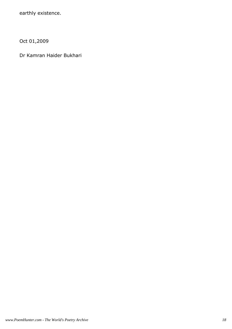earthly existence.

Oct 01,2009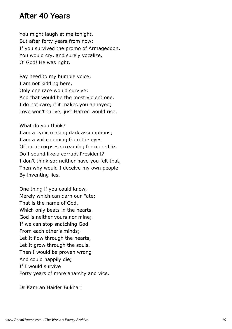#### After 40 Years

You might laugh at me tonight, But after forty years from now; If you survived the promo of Armageddon, You would cry, and surely vocalize, O' God! He was right.

Pay heed to my humble voice; I am not kidding here, Only one race would survive; And that would be the most violent one. I do not care, if it makes you annoyed; Love won't thrive, just Hatred would rise.

What do you think?

I am a cynic making dark assumptions; I am a voice coming from the eyes Of burnt corpses screaming for more life. Do I sound like a corrupt President? I don't think so; neither have you felt that, Then why would I deceive my own people By inventing lies.

One thing if you could know, Merely which can darn our Fate; That is the name of God, Which only beats in the hearts. God is neither yours nor mine; If we can stop snatching God From each other's minds; Let It flow through the hearts, Let It grow through the souls. Then I would be proven wrong And could happily die; If I would survive Forty years of more anarchy and vice.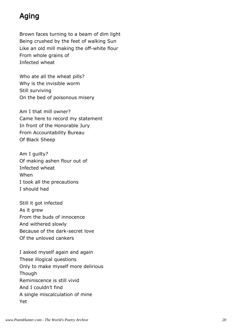# Aging

Brown faces turning to a beam of dim light Being crushed by the feet of walking Sun Like an old mill making the off-white flour From whole grains of Infected wheat

Who ate all the wheat pills? Why is the invisible worm Still surviving On the bed of poisonous misery

Am I that mill owner? Came here to record my statement In front of the Honorable Jury From Accountability Bureau Of Black Sheep

Am I guilty? Of making ashen flour out of Infected wheat When I took all the precautions I should had

Still it got infected As it grew From the buds of innocence And withered slowly Because of the dark-secret love Of the unloved cankers

I asked myself again and again These illogical questions Only to make myself more delirious Though Reminiscence is still vivid And I couldn't find A single miscalculation of mine Yet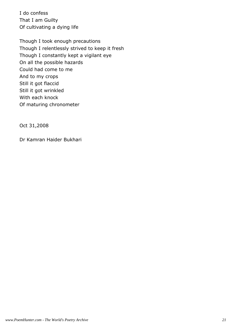I do confess That I am Guilty Of cultivating a dying life

Though I took enough precautions Though I relentlessly strived to keep it fresh Though I constantly kept a vigilant eye On all the possible hazards Could had come to me And to my crops Still it got flaccid Still it got wrinkled With each knock Of maturing chronometer

Oct 31,2008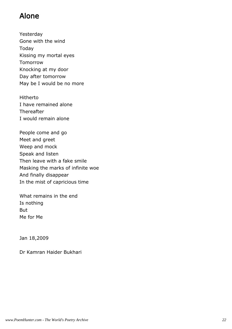#### Alone

Yesterday Gone with the wind Today Kissing my mortal eyes Tomorrow Knocking at my door Day after tomorrow May be I would be no more

Hitherto I have remained alone **Thereafter** I would remain alone

People come and go Meet and greet Weep and mock Speak and listen Then leave with a fake smile Masking the marks of infinite woe And finally disappear In the mist of capricious time

What remains in the end Is nothing But Me for Me

Jan 18,2009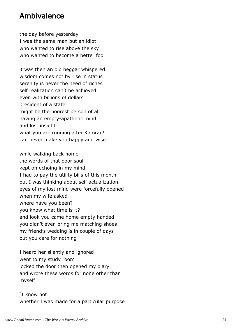#### Ambivalence

the day before yesterday I was the same man but an idiot who wanted to rise above the sky who wanted to become a better fool

it was then an old beggar whispered wisdom comes not by rise in status serenity is never the need of riches self realization can't be achieved even with billions of dollars president of a state might be the poorest person of all having an empty-apathetic mind and lost insight what you are running after Kamran! can never make you happy and wise

while walking back home the words of that poor soul kept on echoing in my mind I had to pay the utility bills of this month but I was thinking about self actualization eyes of my lost mind were forcefully opened when my wife asked where have you been? you know what time is it? and look you came home empty handed you didn't even bring me matching shoes my friend's wedding is in couple of days but you care for nothing

I heard her silently and ignored went to my study room locked the door then opened my diary and wrote these words for none other than myself

"I know not whether I was made for a particular purpose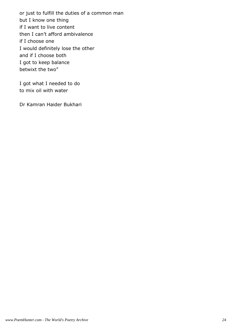or just to fulfill the duties of a common man but I know one thing if I want to live content then I can't afford ambivalence if I choose one I would definitely lose the other and if I choose both I got to keep balance betwixt the two"

I got what I needed to do to mix oil with water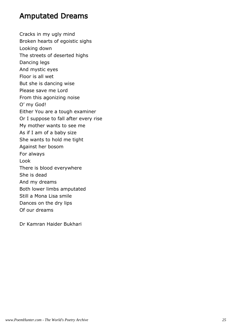#### Amputated Dreams

Cracks in my ugly mind Broken hearts of egoistic sighs Looking down The streets of deserted highs Dancing legs And mystic eyes Floor is all wet But she is dancing wise Please save me Lord From this agonizing noise O' my God! Either You are a tough examiner Or I suppose to fall after every rise My mother wants to see me As if I am of a baby size She wants to hold me tight Against her bosom For always Look There is blood everywhere She is dead And my dreams Both lower limbs amputated Still a Mona Lisa smile Dances on the dry lips Of our dreams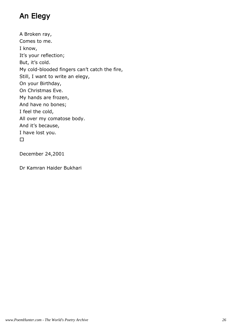# An Elegy

A Broken ray, Comes to me. I know, It's your reflection; But, it's cold. My cold-blooded fingers can't catch the fire, Still, I want to write an elegy, On your Birthday, On Christmas Eve. My hands are frozen, And have no bones; I feel the cold, All over my comatose body. And it's because, I have lost you.

December 24,2001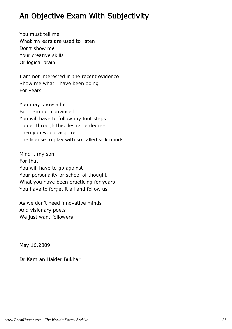#### An Objective Exam With Subjectivity

You must tell me What my ears are used to listen Don't show me Your creative skills Or logical brain

I am not interested in the recent evidence Show me what I have been doing For years

You may know a lot But I am not convinced You will have to follow my foot steps To get through this desirable degree Then you would acquire The license to play with so called sick minds

Mind it my son! For that You will have to go against Your personality or school of thought What you have been practicing for years You have to forget it all and follow us

As we don't need innovative minds And visionary poets We just want followers

May 16,2009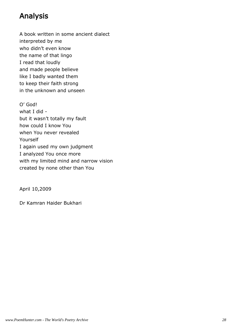# Analysis

A book written in some ancient dialect interpreted by me who didn't even know the name of that lingo I read that loudly and made people believe like I badly wanted them to keep their faith strong in the unknown and unseen

O' God! what I did but it wasn't totally my fault how could I know You when You never revealed Yourself I again used my own judgment I analyzed You once more with my limited mind and narrow vision created by none other than You

April 10,2009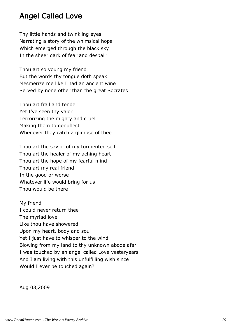#### Angel Called Love

Thy little hands and twinkling eyes Narrating a story of the whimsical hope Which emerged through the black sky In the sheer dark of fear and despair

Thou art so young my friend But the words thy tongue doth speak Mesmerize me like I had an ancient wine Served by none other than the great Socrates

Thou art frail and tender Yet I've seen thy valor Terrorizing the mighty and cruel Making them to genuflect Whenever they catch a glimpse of thee

Thou art the savior of my tormented self Thou art the healer of my aching heart Thou art the hope of my fearful mind Thou art my real friend In the good or worse Whatever life would bring for us Thou would be there

My friend I could never return thee The myriad love Like thou have showered Upon my heart, body and soul Yet I just have to whisper to the wind Blowing from my land to thy unknown abode afar I was touched by an angel called Love yesteryears And I am living with this unfulfilling wish since Would I ever be touched again?

Aug 03,2009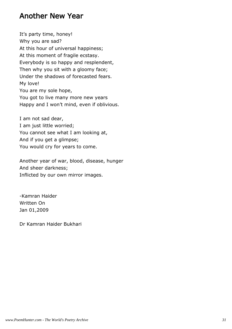#### Another New Year

It's party time, honey! Why you are sad? At this hour of universal happiness; At this moment of fragile ecstasy. Everybody is so happy and resplendent, Then why you sit with a gloomy face; Under the shadows of forecasted fears. My love! You are my sole hope, You got to live many more new years Happy and I won't mind, even if oblivious.

I am not sad dear, I am just little worried; You cannot see what I am looking at, And if you get a glimpse; You would cry for years to come.

Another year of war, blood, disease, hunger And sheer darkness; Inflicted by our own mirror images.

-Kamran Haider Written On Jan 01,2009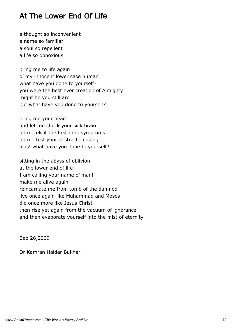#### At The Lower End Of Life

a thought so inconvenient a name so familiar a soul so repellent a life so obnoxious

bring me to life again o' my innocent lower case human what have you done to yourself? you were the best ever creation of Almighty might be you still are but what have you done to yourself?

bring me your head and let me check your sick brain let me elicit the first rank symptoms let me test your abstract thinking alas! what have you done to yourself?

sitting in the abyss of oblivion at the lower end of life I am calling your name o' man! make me alive again reincarnate me from tomb of the damned live once again like Muhammad and Moses die once more like Jesus Christ then rise yet again from the vacuum of ignorance and then evaporate yourself into the mist of eternity

Sep 26,2009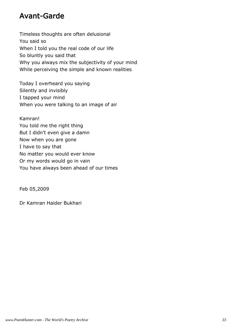#### Avant-Garde

Timeless thoughts are often delusional You said so When I told you the real code of our life So bluntly you said that Why you always mix the subjectivity of your mind While perceiving the simple and known realities

Today I overheard you saying Silently and invisibly I tapped your mind When you were talking to an image of air

Kamran! You told me the right thing But I didn't even give a damn Now when you are gone I have to say that No matter you would ever know Or my words would go in vain You have always been ahead of our times

Feb 05,2009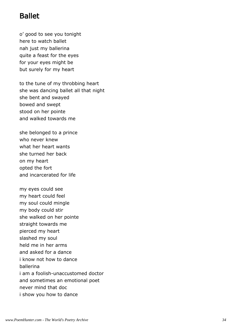#### Ballet

o' good to see you tonight here to watch ballet nah just my ballerina quite a feast for the eyes for your eyes might be but surely for my heart

to the tune of my throbbing heart she was dancing ballet all that night she bent and swayed bowed and swept stood on her pointe and walked towards me

she belonged to a prince who never knew what her heart wants she turned her back on my heart opted the fort and incarcerated for life

my eyes could see my heart could feel my soul could mingle my body could stir she walked on her pointe straight towards me pierced my heart slashed my soul held me in her arms and asked for a dance i know not how to dance ballerina i am a foolish-unaccustomed doctor and sometimes an emotional poet never mind that doc i show you how to dance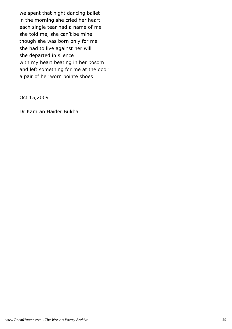we spent that night dancing ballet in the morning she cried her heart each single tear had a name of me she told me, she can't be mine though she was born only for me she had to live against her will she departed in silence with my heart beating in her bosom and left something for me at the door a pair of her worn pointe shoes

Oct 15,2009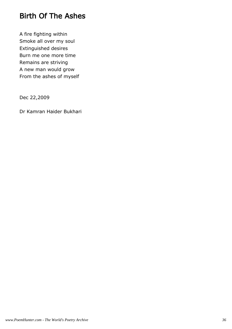## Birth Of The Ashes

A fire fighting within Smoke all over my soul Extinguished desires Burn me one more time Remains are striving A new man would grow From the ashes of myself

Dec 22,2009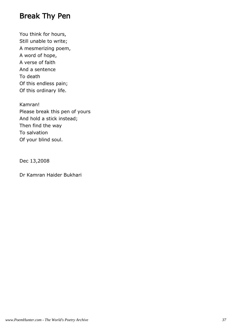#### Break Thy Pen

You think for hours, Still unable to write; A mesmerizing poem, A word of hope, A verse of faith And a sentence To death Of this endless pain; Of this ordinary life.

Kamran! Please break this pen of yours And hold a stick instead; Then find the way To salvation Of your blind soul.

Dec 13,2008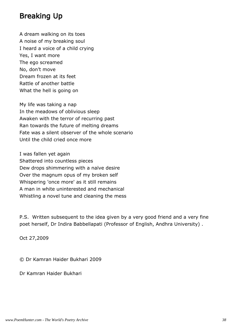#### Breaking Up

A dream walking on its toes A noise of my breaking soul I heard a voice of a child crying Yes, I want more The ego screamed No, don't move Dream frozen at its feet Rattle of another battle What the hell is going on

My life was taking a nap In the meadows of oblivious sleep Awaken with the terror of recurring past Ran towards the future of melting dreams Fate was a silent observer of the whole scenario Until the child cried once more

I was fallen yet again Shattered into countless pieces Dew drops shimmering with a naïve desire Over the magnum opus of my broken self Whispering 'once more' as it still remains A man in white uninterested and mechanical Whistling a novel tune and cleaning the mess

P.S. Written subsequent to the idea given by a very good friend and a very fine poet herself, Dr Indira Babbellapati (Professor of English, Andhra University) .

Oct 27,2009

© Dr Kamran Haider Bukhari 2009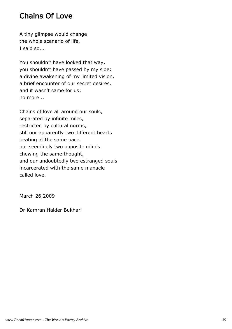### Chains Of Love

A tiny glimpse would change the whole scenario of life, I said so...

You shouldn't have looked that way, you shouldn't have passed by my side: a divine awakening of my limited vision, a brief encounter of our secret desires, and it wasn't same for us; no more...

Chains of love all around our souls, separated by infinite miles, restricted by cultural norms, still our apparently two different hearts beating at the same pace, our seemingly two opposite minds chewing the same thought, and our undoubtedly two estranged souls incarcerated with the same manacle called love.

March 26,2009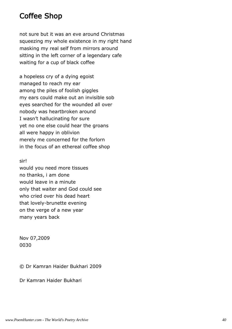#### Coffee Shop

not sure but it was an eve around Christmas squeezing my whole existence in my right hand masking my real self from mirrors around sitting in the left corner of a legendary cafe waiting for a cup of black coffee

a hopeless cry of a dying egoist managed to reach my ear among the piles of foolish giggles my ears could make out an invisible sob eyes searched for the wounded all over nobody was heartbroken around I wasn't hallucinating for sure yet no one else could hear the groans all were happy in oblivion merely me concerned for the forlorn in the focus of an ethereal coffee shop

sir!

would you need more tissues no thanks, i am done would leave in a minute only that waiter and God could see who cried over his dead heart that lovely-brunette evening on the verge of a new year many years back

Nov 07,2009 0030

© Dr Kamran Haider Bukhari 2009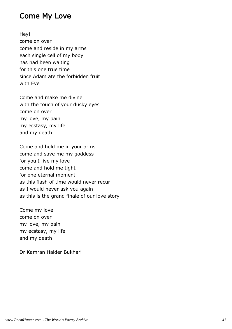#### Come My Love

Hey! come on over come and reside in my arms each single cell of my body has had been waiting for this one true time since Adam ate the forbidden fruit with Eve

Come and make me divine with the touch of your dusky eyes come on over my love, my pain my ecstasy, my life and my death

Come and hold me in your arms come and save me my goddess for you I live my love come and hold me tight for one eternal moment as this flash of time would never recur as I would never ask you again as this is the grand finale of our love story

Come my love come on over my love, my pain my ecstasy, my life and my death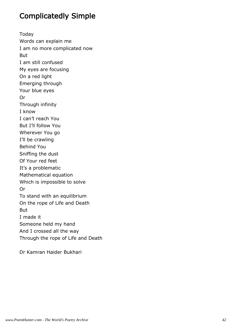## Complicatedly Simple

Today Words can explain me I am no more complicated now But I am still confused My eyes are focusing On a red light Emerging through Your blue eyes Or Through infinity I know I can't reach You But I'll follow You Wherever You go I'll be crawling Behind You Sniffing the dust Of Your red feet It's a problematic Mathematical equation Which is impossible to solve Or To stand with an equilibrium On the rope of Life and Death But I made it Someone held my hand And I crossed all the way Through the rope of Life and Death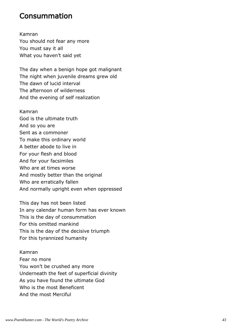#### Consummation

Kamran You should not fear any more You must say it all What you haven't said yet

The day when a benign hope got malignant The night when juvenile dreams grew old The dawn of lucid interval The afternoon of wilderness And the evening of self realization

Kamran God is the ultimate truth And so you are Sent as a commoner To make this ordinary world A better abode to live in For your flesh and blood And for your facsimiles Who are at times worse And mostly better than the original Who are erratically fallen And normally upright even when oppressed

This day has not been listed In any calendar human form has ever known This is the day of consummation For this omitted mankind This is the day of the decisive triumph For this tyrannized humanity

Kamran Fear no more You won't be crushed any more Underneath the feet of superficial divinity As you have found the ultimate God Who is the most Beneficent And the most Merciful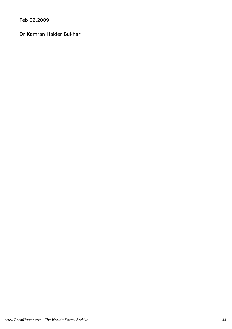Feb 02,2009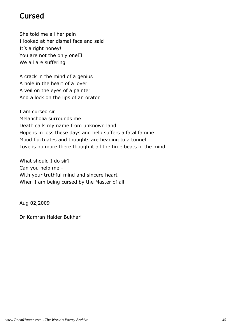#### Cursed

She told me all her pain I looked at her dismal face and said It's alright honey! You are not the only one We all are suffering

A crack in the mind of a genius A hole in the heart of a lover A veil on the eyes of a painter And a lock on the lips of an orator

I am cursed sir Melancholia surrounds me Death calls my name from unknown land Hope is in loss these days and help suffers a fatal famine Mood fluctuates and thoughts are heading to a tunnel Love is no more there though it all the time beats in the mind

What should I do sir? Can you help me - With your truthful mind and sincere heart When I am being cursed by the Master of all

Aug 02,2009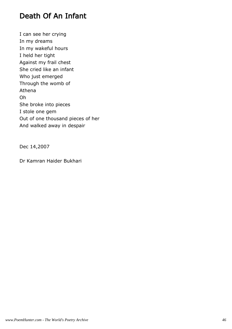#### Death Of An Infant

I can see her crying In my dreams In my wakeful hours I held her tight Against my frail chest She cried like an infant Who just emerged Through the womb of Athena Oh She broke into pieces I stole one gem Out of one thousand pieces of her And walked away in despair

Dec 14,2007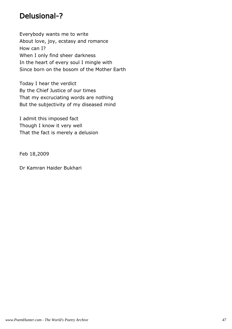### Delusional-?

Everybody wants me to write About love, joy, ecstasy and romance How can I? When I only find sheer darkness In the heart of every soul I mingle with Since born on the bosom of the Mother Earth

Today I hear the verdict By the Chief Justice of our times That my excruciating words are nothing But the subjectivity of my diseased mind

I admit this imposed fact Though I know it very well That the fact is merely a delusion

Feb 18,2009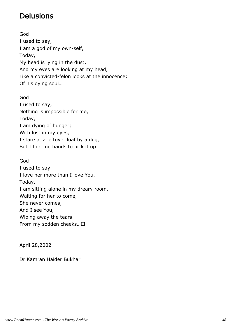## Delusions

God I used to say, I am a god of my own-self, Today, My head is lying in the dust, And my eyes are looking at my head, Like a convicted-felon looks at the innocence; Of his dying soul…

God I used to say, Nothing is impossible for me, Today, I am dying of hunger; With lust in my eyes, I stare at a leftover loaf by a dog, But I find no hands to pick it up…

God I used to say I love her more than I love You, Today, I am sitting alone in my dreary room, Waiting for her to come, She never comes, And I see You, Wiping away the tears From my sodden cheeks… 

April 28,2002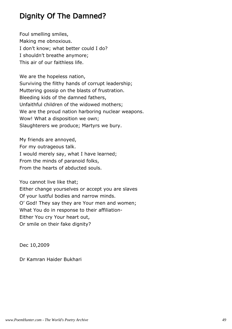## Dignity Of The Damned?

Foul smelling smiles, Making me obnoxious. I don't know; what better could I do? I shouldn't breathe anymore; This air of our faithless life.

We are the hopeless nation, Surviving the filthy hands of corrupt leadership; Muttering gossip on the blasts of frustration. Bleeding kids of the damned fathers, Unfaithful children of the widowed mothers; We are the proud nation harboring nuclear weapons. Wow! What a disposition we own; Slaughterers we produce; Martyrs we bury.

My friends are annoyed, For my outrageous talk. I would merely say, what I have learned; From the minds of paranoid folks, From the hearts of abducted souls.

You cannot live like that; Either change yourselves or accept you are slaves Of your lustful bodies and narrow minds. O' God! They say they are Your men and women; What You do in response to their affiliation-Either You cry Your heart out, Or smile on their fake dignity?

Dec 10,2009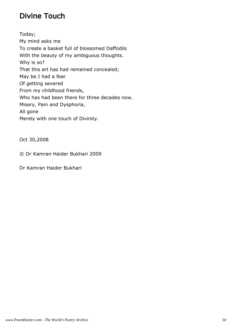## Divine Touch

Today; My mind asks me To create a basket full of blossomed Daffodils With the beauty of my ambiguous thoughts. Why is so? That this art has had remained concealed; May be I had a fear Of getting severed From my childhood friends, Who has had been there for three decades now. Misery, Pain and Dysphoria, All gone Merely with one touch of Divinity.

Oct 30,2008

© Dr Kamran Haider Bukhari 2009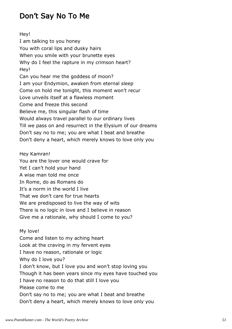## Don't Say No To Me

Hey! I am talking to you honey You with coral lips and dusky hairs When you smile with your brunette eyes Why do I feel the rapture in my crimson heart? Hey! Can you hear me the goddess of moon? I am your Endymion, awaken from eternal sleep Come on hold me tonight, this moment won't recur Love unveils itself at a flawless moment Come and freeze this second Believe me, this singular flash of time Would always travel parallel to our ordinary lives Till we pass on and resurrect in the Elysium of our dreams Don't say no to me; you are what I beat and breathe Don't deny a heart, which merely knows to love only you

Hey Kamran!

You are the lover one would crave for Yet I can't hold your hand A wise man told me once In Rome, do as Romans do It's a norm in the world I live That we don't care for true hearts We are predisposed to live the way of wits There is no logic in love and I believe in reason Give me a rationale, why should I come to you?

My love! Come and listen to my aching heart Look at the craving in my fervent eyes I have no reason, rationale or logic Why do I love you? I don't know, but I love you and won't stop loving you Though it has been years since my eyes have touched you I have no reason to do that still I love you Please come to me Don't say no to me; you are what I beat and breathe Don't deny a heart, which merely knows to love only you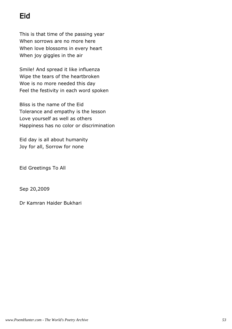# Eid

This is that time of the passing year When sorrows are no more here When love blossoms in every heart When joy giggles in the air

Smile! And spread it like influenza Wipe the tears of the heartbroken Woe is no more needed this day Feel the festivity in each word spoken

Bliss is the name of the Eid Tolerance and empathy is the lesson Love yourself as well as others Happiness has no color or discrimination

Eid day is all about humanity Joy for all, Sorrow for none

Eid Greetings To All

Sep 20,2009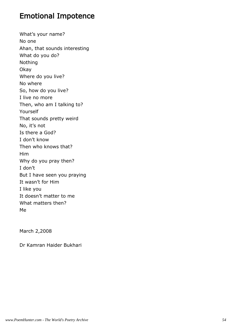#### Emotional Impotence

What's your name? No one Ahan, that sounds interesting What do you do? Nothing Okay Where do you live? No where So, how do you live? I live no more Then, who am I talking to? Yourself That sounds pretty weird No, it's not Is there a God? I don't know Then who knows that? Him Why do you pray then? I don't But I have seen you praying It wasn't for Him I like you It doesn't matter to me What matters then? Me

March 2,2008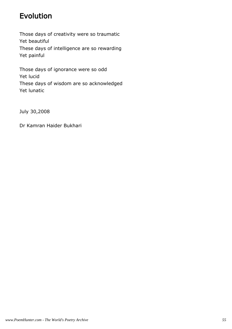## Evolution

Those days of creativity were so traumatic Yet beautiful These days of intelligence are so rewarding Yet painful

Those days of ignorance were so odd Yet lucid These days of wisdom are so acknowledged Yet lunatic

July 30,2008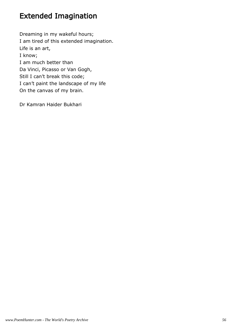## Extended Imagination

Dreaming in my wakeful hours; I am tired of this extended imagination. Life is an art, I know; I am much better than Da Vinci, Picasso or Van Gogh, Still I can't break this code; I can't paint the landscape of my life On the canvas of my brain.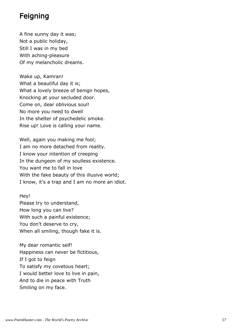#### Feigning

A fine sunny day it was; Not a public holiday, Still I was in my bed With aching-pleasure Of my melancholic dreams.

Wake up, Kamran! What a beautiful day it is; What a lovely breeze of benign hopes, Knocking at your secluded door. Come on, dear oblivious soul! No more you need to dwell In the shelter of psychedelic smoke. Rise up! Love is calling your name.

Well, again you making me fool; I am no more detached from reality. I know your intention of creeping In the dungeon of my soulless existence. You want me to fall in love With the fake beauty of this illusive world; I know, it's a trap and I am no more an idiot.

Hey! Please try to understand, How long you can live? With such a painful existence; You don't deserve to cry, When all smiling, though fake it is.

My dear romantic self! Happiness can never be fictitious, If I got to feign To satisfy my covetous heart; I would better love to live in pain, And to die in peace with Truth Smiling on my face.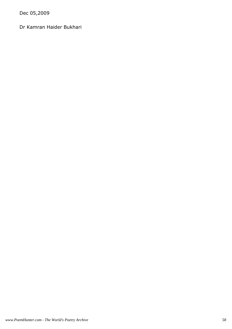Dec 05,2009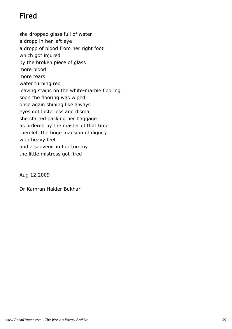## Fired

she dropped glass full of water a dropp in her left eye a dropp of blood from her right foot which got injured by the broken piece of glass more blood more tears water turning red leaving stains on the white-marble flooring soon the flooring was wiped once again shining like always eyes got lusterless and dismal she started packing her baggage as ordered by the master of that time then left the huge mansion of dignity with heavy feet and a souvenir in her tummy the little mistress got fired

Aug 12,2009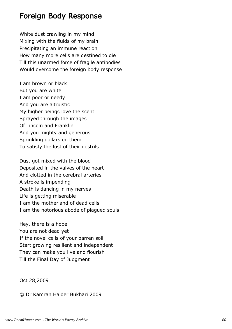#### Foreign Body Response

White dust crawling in my mind Mixing with the fluids of my brain Precipitating an immune reaction How many more cells are destined to die Till this unarmed force of fragile antibodies Would overcome the foreign body response

I am brown or black But you are white I am poor or needy And you are altruistic My higher beings love the scent Sprayed through the images Of Lincoln and Franklin And you mighty and generous Sprinkling dollars on them To satisfy the lust of their nostrils

Dust got mixed with the blood Deposited in the valves of the heart And clotted in the cerebral arteries A stroke is impending Death is dancing in my nerves Life is getting miserable I am the motherland of dead cells I am the notorious abode of plagued souls

Hey, there is a hope You are not dead yet If the novel cells of your barren soil Start growing resilient and independent They can make you live and flourish Till the Final Day of Judgment

Oct 28,2009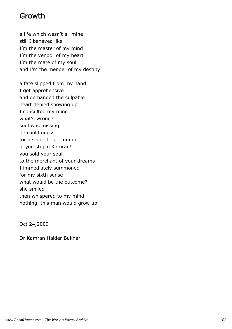#### Growth

a life which wasn't all mine still I behaved like I'm the master of my mind I'm the vendor of my heart I'm the mate of my soul and I'm the mender of my destiny

a fate slipped from my hand I got apprehensive and demanded the culpable heart denied showing up I consulted my mind what's wrong? soul was missing he could guess for a second I got numb o' you stupid Kamran! you sold your soul to the merchant of your dreams I immediately summoned for my sixth sense what would be the outcome? she smiled then whispered to my mind nothing, this man would grow up

Oct 24,2009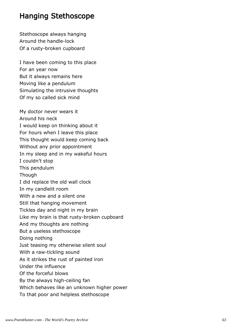#### Hanging Stethoscope

Stethoscope always hanging Around the handle-lock Of a rusty-broken cupboard

I have been coming to this place For an year now But it always remains here Moving like a pendulum Simulating the intrusive thoughts Of my so called sick mind

My doctor never wears it Around his neck I would keep on thinking about it For hours when I leave this place This thought would keep coming back Without any prior appointment In my sleep and in my wakeful hours I couldn't stop This pendulum Though I did replace the old wall clock In my candlelit room With a new and a silent one Still that hanging movement Tickles day and night in my brain Like my brain is that rusty-broken cupboard And my thoughts are nothing But a useless stethoscope Doing nothing Just teasing my otherwise silent soul With a raw-tickling sound As it strikes the rust of painted iron Under the influence Of the forceful blows By the always high-ceiling fan Which behaves like an unknown higher power To that poor and helpless stethoscope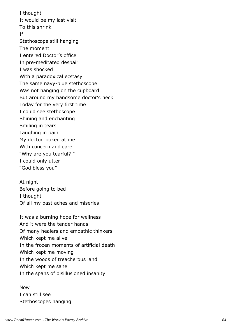I thought It would be my last visit To this shrink If Stethoscope still hanging The moment I entered Doctor's office In pre-meditated despair I was shocked With a paradoxical ecstasy The same navy-blue stethoscope Was not hanging on the cupboard But around my handsome doctor's neck Today for the very first time I could see stethoscope Shining and enchanting Smiling in tears Laughing in pain My doctor looked at me With concern and care "Why are you tearful? " I could only utter "God bless you"

At night Before going to bed I thought Of all my past aches and miseries

It was a burning hope for wellness And it were the tender hands Of many healers and empathic thinkers Which kept me alive In the frozen moments of artificial death Which kept me moving In the woods of treacherous land Which kept me sane In the spans of disillusioned insanity

Now I can still see Stethoscopes hanging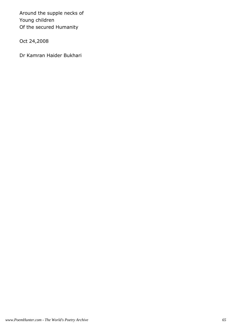Around the supple necks of Young children Of the secured Humanity

Oct 24,2008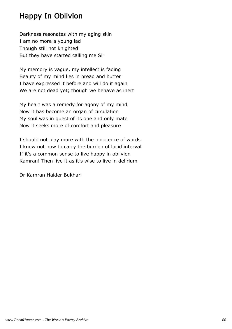## Happy In Oblivion

Darkness resonates with my aging skin I am no more a young lad Though still not knighted But they have started calling me Sir

My memory is vague, my intellect is fading Beauty of my mind lies in bread and butter I have expressed it before and will do it again We are not dead yet; though we behave as inert

My heart was a remedy for agony of my mind Now it has become an organ of circulation My soul was in quest of its one and only mate Now it seeks more of comfort and pleasure

I should not play more with the innocence of words I know not how to carry the burden of lucid interval If it's a common sense to live happy in oblivion Kamran! Then live it as it's wise to live in delirium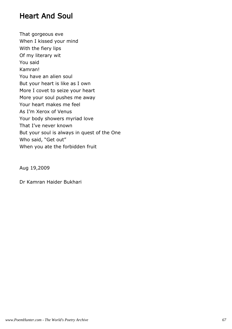#### Heart And Soul

That gorgeous eve When I kissed your mind With the fiery lips Of my literary wit You said Kamran! You have an alien soul But your heart is like as I own More I covet to seize your heart More your soul pushes me away Your heart makes me feel As I'm Xerox of Venus Your body showers myriad love That I've never known But your soul is always in quest of the One Who said, "Get out" When you ate the forbidden fruit

Aug 19,2009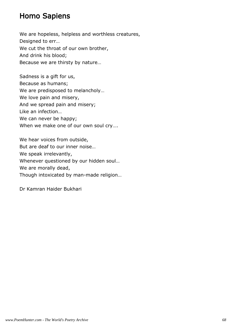#### Homo Sapiens

We are hopeless, helpless and worthless creatures, Designed to err… We cut the throat of our own brother, And drink his blood; Because we are thirsty by nature…

Sadness is a gift for us, Because as humans; We are predisposed to melancholy… We love pain and misery, And we spread pain and misery; Like an infection… We can never be happy; When we make one of our own soul cry….

We hear voices from outside, But are deaf to our inner noise… We speak irrelevantly, Whenever questioned by our hidden soul… We are morally dead, Though intoxicated by man-made religion…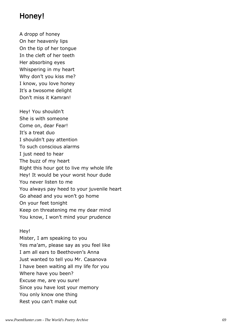#### Honey!

A dropp of honey On her heavenly lips On the tip of her tongue In the cleft of her teeth Her absorbing eyes Whispering in my heart Why don't you kiss me? I know, you love honey It's a twosome delight Don't miss it Kamran!

Hey! You shouldn't She is with someone Come on, dear Fear! It's a treat duo I shouldn't pay attention To such conscious alarms I just need to hear The buzz of my heart Right this hour got to live my whole life Hey! It would be your worst hour dude You never listen to me You always pay heed to your juvenile heart Go ahead and you won't go home On your feet tonight Keep on threatening me my dear mind You know, I won't mind your prudence

#### Hey!

Mister, I am speaking to you Yes ma'am, please say as you feel like I am all ears to Beethoven's Anna Just wanted to tell you Mr. Casanova I have been waiting all my life for you Where have you been? Excuse me, are you sure! Since you have lost your memory You only know one thing Rest you can't make out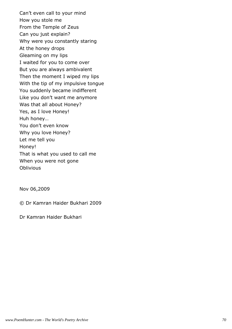Can't even call to your mind How you stole me From the Temple of Zeus Can you just explain? Why were you constantly staring At the honey drops Gleaming on my lips I waited for you to come over But you are always ambivalent Then the moment I wiped my lips With the tip of my impulsive tongue You suddenly became indifferent Like you don't want me anymore Was that all about Honey? Yes, as I love Honey! Huh honey… You don't even know Why you love Honey? Let me tell you Honey! That is what you used to call me When you were not gone **Oblivious** 

Nov 06,2009

© Dr Kamran Haider Bukhari 2009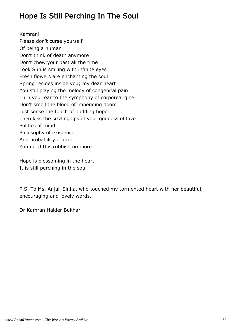## Hope Is Still Perching In The Soul

Kamran! Please don't curse yourself Of being a human Don't think of death anymore Don't chew your past all the time Look Sun is smiling with infinite eyes Fresh flowers are enchanting the soul Spring resides inside you; my dear heart You still playing the melody of congenital pain Turn your ear to the symphony of corporeal glee Don't smell the blood of impending doom Just sense the touch of budding hope Then kiss the sizzling lips of your goddess of love Politics of mind Philosophy of existence And probability of error You need this rubbish no more

Hope is blossoming in the heart It is still perching in the soul

P.S. To Ms. Anjali Sinha, who touched my tormented heart with her beautiful, encouraging and lovely words.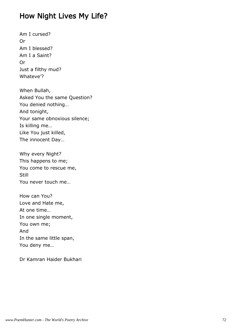# How Night Lives My Life?

Am I cursed? Or Am I blessed? Am I a Saint? Or Just a filthy mud? Whateve'?

When Bullah, Asked You the same Question? You denied nothing… And tonight, Your same obnoxious silence; Is killing me… Like You just killed, The innocent Day…

Why every Night? This happens to me; You come to rescue me, Still You never touch me…

How can You? Love and Hate me, At one time… In one single moment, You own me; And In the same little span, You deny me…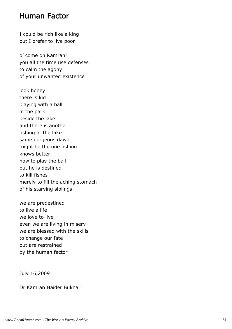#### Human Factor

I could be rich like a king but I prefer to live poor

o' come on Kamran! you all the time use defenses to calm the agony of your unwanted existence

look honey! there is kid playing with a ball in the park beside the lake and there is another fishing at the lake same gorgeous dawn might be the one fishing knows better how to play the ball but he is destined to kill fishes merely to fill the aching stomach of his starving siblings

we are predestined to live a life we love to live even we are living in misery we are blessed with the skills to change our fate but are restrained by the human factor

July 16,2009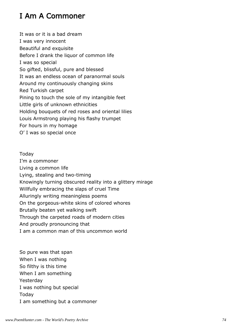# I Am A Commoner

It was or it is a bad dream I was very innocent Beautiful and exquisite Before I drank the liquor of common life I was so special So gifted, blissful, pure and blessed It was an endless ocean of paranormal souls Around my continuously changing skins Red Turkish carpet Pining to touch the sole of my intangible feet Little girls of unknown ethnicities Holding bouquets of red roses and oriental lilies Louis Armstrong playing his flashy trumpet For hours in my homage O' I was so special once

Today I'm a commoner Living a common life Lying, stealing and two-timing Knowingly turning obscured reality into a glittery mirage Willfully embracing the slaps of cruel Time Alluringly writing meaningless poems On the gorgeous-white skins of colored whores Brutally beaten yet walking swift Through the carpeted roads of modern cities And proudly pronouncing that I am a common man of this uncommon world

So pure was that span When I was nothing So filthy is this time When I am something Yesterday I was nothing but special Today I am something but a commoner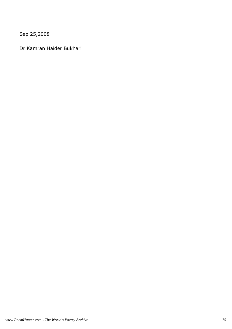Sep 25,2008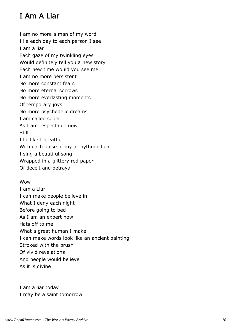# I Am A Liar

I am no more a man of my word I lie each day to each person I see I am a liar Each gaze of my twinkling eyes Would definitely tell you a new story Each new time would you see me I am no more persistent No more constant fears No more eternal sorrows No more everlasting moments Of temporary joys No more psychedelic dreams I am called sober As I am respectable now Still I lie like I breathe With each pulse of my arrhythmic heart I sing a beautiful song Wrapped in a glittery red paper Of deceit and betrayal

Wow I am a Liar I can make people believe in What I deny each night Before going to bed As I am an expert now Hats off to me What a great human I make I can make words look like an ancient painting Stroked with the brush Of vivid revelations And people would believe As it is divine

I am a liar today I may be a saint tomorrow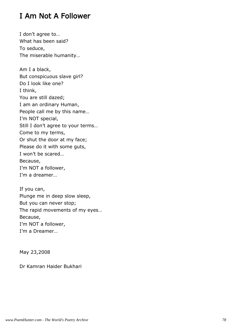# I Am Not A Follower

I don't agree to… What has been said? To seduce, The miserable humanity… Am I a black, But conspicuous slave girl? Do I look like one? I think, You are still dazed; I am an ordinary Human, People call me by this name… I'm NOT special, Still I don't agree to your terms… Come to my terms, Or shut the door at my face; Please do it with some guts, I won't be scared… Because, I'm NOT a follower, I'm a dreamer…

If you can, Plunge me in deep slow sleep, But you can never stop; The rapid movements of my eyes… Because, I'm NOT a follower, I'm a Dreamer…

May 23,2008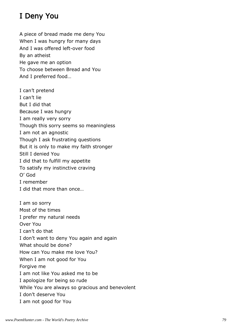# I Deny You

A piece of bread made me deny You When I was hungry for many days And I was offered left-over food By an atheist He gave me an option To choose between Bread and You And I preferred food…

I can't pretend I can't lie But I did that Because I was hungry I am really very sorry Though this sorry seems so meaningless I am not an agnostic Though I ask frustrating questions But it is only to make my faith stronger Still I denied You I did that to fulfill my appetite To satisfy my instinctive craving O' God I remember I did that more than once…

I am so sorry Most of the times I prefer my natural needs Over You I can't do that I don't want to deny You again and again What should be done? How can You make me love You? When I am not good for You Forgive me I am not like You asked me to be I apologize for being so rude While You are always so gracious and benevolent I don't deserve You I am not good for You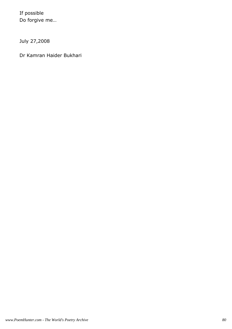If possible Do forgive me…

July 27,2008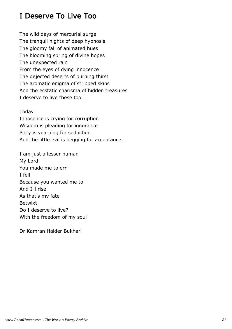# I Deserve To Live Too

The wild days of mercurial surge The tranquil nights of deep hypnosis The gloomy fall of animated hues The blooming spring of divine hopes The unexpected rain From the eyes of dying innocence The dejected deserts of burning thirst The aromatic enigma of stripped skins And the ecstatic charisma of hidden treasures I deserve to live these too

Today

Innocence is crying for corruption Wisdom is pleading for ignorance Piety is yearning for seduction And the little evil is begging for acceptance

I am just a lesser human My Lord You made me to err I fell Because you wanted me to And I'll rise As that's my fate Betwixt Do I deserve to live? With the freedom of my soul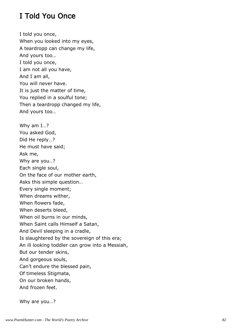# I Told You Once

I told you once, When you looked into my eyes, A teardropp can change my life, And yours too… I told you once, I am not all you have, And I am all, You will never have. It is just the matter of time, You replied in a soulful tone; Then a teardropp changed my life, And yours too… Why am I…? You asked God, Did He reply…? He must have said; Ask me, Why are you..? Each single soul, On the face of our mother earth, Asks this simple question… Every single moment; When dreams wither, When flowers fade, When deserts bleed, When oil burns in our minds, When Saint calls Himself a Satan, And Devil sleeping in a cradle, Is slaughtered by the sovereign of this era; An ill looking toddler can grow into a Messiah, But our tender skins, And gorgeous souls, Can't endure the blessed pain, Of timeless Stigmata, On our broken hands, And frozen feet.

Why are you…?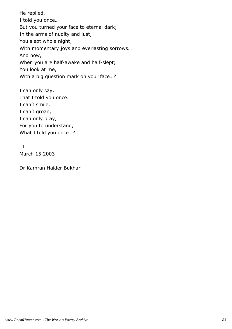He replied, I told you once… But you turned your face to eternal dark; In the arms of nudity and lust, You slept whole night; With momentary joys and everlasting sorrows… And now, When you are half-awake and half-slept; You look at me, With a big question mark on your face…?

I can only say, That I told you once… I can't smile, I can't groan, I can only pray, For you to understand, What I told you once...?

March 15,2003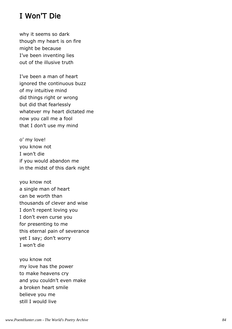## I Won'T Die

why it seems so dark though my heart is on fire might be because I've been inventing lies out of the illusive truth

I've been a man of heart ignored the continuous buzz of my intuitive mind did things right or wrong but did that fearlessly whatever my heart dictated me now you call me a fool that I don't use my mind

o' my love! you know not I won't die if you would abandon me in the midst of this dark night

you know not a single man of heart can be worth than thousands of clever and wise I don't repent loving you I don't even curse you for presenting to me this eternal pain of severance yet I say; don't worry I won't die

you know not my love has the power to make heavens cry and you couldn't even make a broken heart smile believe you me still I would live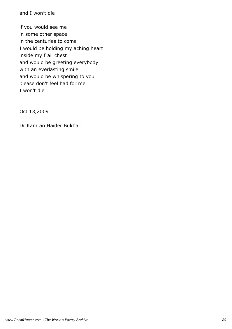and I won't die

if you would see me in some other space in the centuries to come I would be holding my aching heart inside my frail chest and would be greeting everybody with an everlasting smile and would be whispering to you please don't feel bad for me I won't die

Oct 13,2009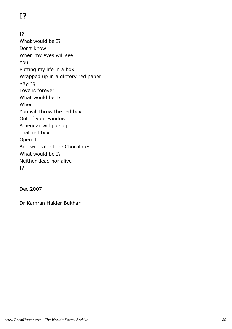# I?

I? What would be I? Don't know When my eyes will see You Putting my life in a box Wrapped up in a glittery red paper Saying Love is forever What would be I? When You will throw the red box Out of your window A beggar will pick up That red box Open it And will eat all the Chocolates What would be I? Neither dead nor alive I?

Dec,2007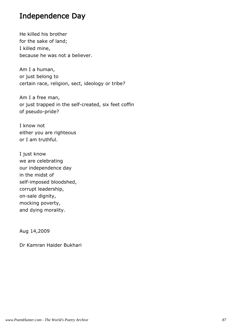#### Independence Day

He killed his brother for the sake of land; I killed mine, because he was not a believer.

Am I a human, or just belong to certain race, religion, sect, ideology or tribe?

Am I a free man, or just trapped in the self-created, six feet coffin of pseudo-pride?

I know not either you are righteous or I am truthful.

I just know we are celebrating our independence day in the midst of self-imposed bloodshed, corrupt leadership, on-sale dignity, mocking poverty, and dying morality.

Aug 14,2009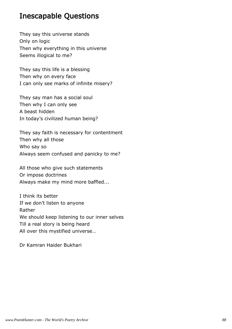#### Inescapable Questions

They say this universe stands Only on logic Then why everything in this universe Seems illogical to me?

They say this life is a blessing Then why on every face I can only see marks of infinite misery?

They say man has a social soul Then why I can only see A beast hidden In today's civilized human being?

They say faith is necessary for contentment Then why all those Who say so Always seem confused and panicky to me?

All those who give such statements Or impose doctrines Always make my mind more baffled...

I think its better If we don't listen to anyone Rather We should keep listening to our inner selves Till a real story is being heard All over this mystified universe…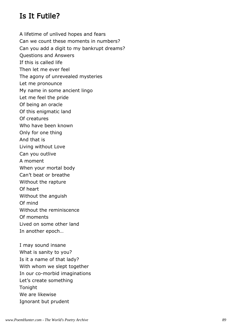#### Is It Futile?

A lifetime of unlived hopes and fears Can we count these moments in numbers? Can you add a digit to my bankrupt dreams? Questions and Answers If this is called life Then let me ever feel The agony of unrevealed mysteries Let me pronounce My name in some ancient lingo Let me feel the pride Of being an oracle Of this enigmatic land Of creatures Who have been known Only for one thing And that is Living without Love Can you outlive A moment When your mortal body Can't beat or breathe Without the rapture Of heart Without the anguish Of mind Without the reminiscence Of moments Lived on some other land In another epoch… I may sound insane

What is sanity to you? Is it a name of that lady? With whom we slept together In our co-morbid imaginations Let's create something Tonight We are likewise Ignorant but prudent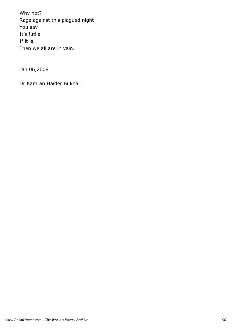Why not? Rage against this plagued night You say It's futile If it is, Then we all are in vain…

Jan 06,2008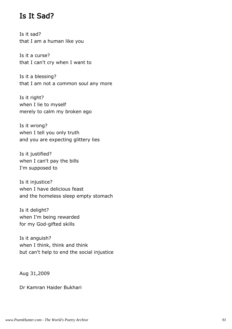#### Is It Sad?

Is it sad? that I am a human like you

Is it a curse? that I can't cry when I want to

Is it a blessing? that I am not a common soul any more

Is it right? when I lie to myself merely to calm my broken ego

Is it wrong? when I tell you only truth and you are expecting glittery lies

Is it justified? when I can't pay the bills I'm supposed to

Is it injustice? when I have delicious feast and the homeless sleep empty stomach

Is it delight? when I'm being rewarded for my God-gifted skills

Is it anguish? when I think, think and think but can't help to end the social injustice

Aug 31,2009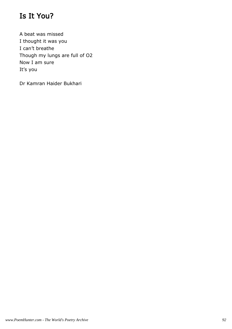# Is It You?

A beat was missed I thought it was you I can't breathe Though my lungs are full of O2 Now I am sure It's you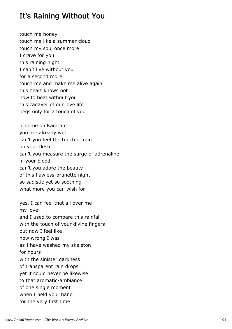### It's Raining Without You

touch me honey touch me like a summer cloud touch my soul once more I crave for you this raining night I can't live without you for a second more touch me and make me alive again this heart knows not how to beat without you this cadaver of our love life begs only for a touch of you

o' come on Kamran! you are already wet can't you feel the touch of rain on your flesh can't you measure the surge of adrenaline in your blood can't you adore the beauty of this flawless-brunette night so sadistic yet so soothing what more you can wish for

yes, I can feel that all over me my love! and I used to compare this rainfall with the touch of your divine fingers but now I feel like how wrong I was as I have washed my skeleton for hours with the sinister darkness of transparent rain drops yet it could never be likewise to that aromatic-ambiance of one single moment when I held your hand for the very first time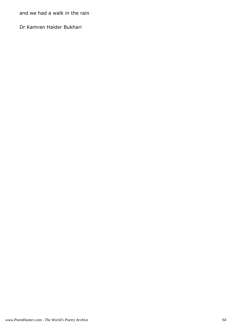and we had a walk in the rain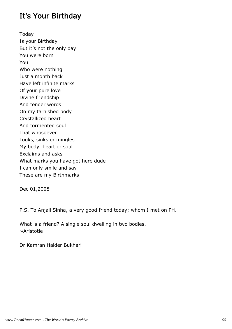#### It's Your Birthday

Today Is your Birthday But it's not the only day You were born You Who were nothing Just a month back Have left infinite marks Of your pure love Divine friendship And tender words On my tarnished body Crystallized heart And tormented soul That whosoever Looks, sinks or mingles My body, heart or soul Exclaims and asks What marks you have got here dude I can only smile and say These are my Birthmarks

Dec 01,2008

P.S. To Anjali Sinha, a very good friend today; whom I met on PH.

What is a friend? A single soul dwelling in two bodies. ~Aristotle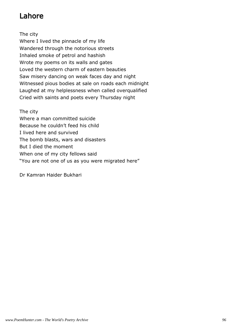# Lahore

The city

Where I lived the pinnacle of my life Wandered through the notorious streets Inhaled smoke of petrol and hashish Wrote my poems on its walls and gates Loved the western charm of eastern beauties Saw misery dancing on weak faces day and night Witnessed pious bodies at sale on roads each midnight Laughed at my helplessness when called overqualified Cried with saints and poets every Thursday night

The city Where a man committed suicide Because he couldn't feed his child I lived here and survived The bomb blasts, wars and disasters But I died the moment When one of my city fellows said "You are not one of us as you were migrated here"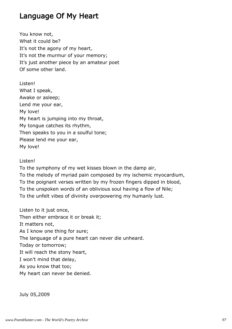#### Language Of My Heart

You know not, What it could be? It's not the agony of my heart, It's not the murmur of your memory; It's just another piece by an amateur poet Of some other land.

Listen! What I speak, Awake or asleep; Lend me your ear, My love! My heart is jumping into my throat, My tongue catches its rhythm, Then speaks to you in a soulful tone; Please lend me your ear, My love!

#### Listen!

To the symphony of my wet kisses blown in the damp air, To the melody of myriad pain composed by my ischemic myocardium, To the poignant verses written by my frozen fingers dipped in blood, To the unspoken words of an oblivious soul having a flow of Nile; To the unfelt vibes of divinity overpowering my humanly lust.

Listen to it just once, Then either embrace it or break it; It matters not, As I know one thing for sure; The language of a pure heart can never die unheard. Today or tomorrow; It will reach the stony heart, I won't mind that delay, As you know that too; My heart can never be denied.

July 05,2009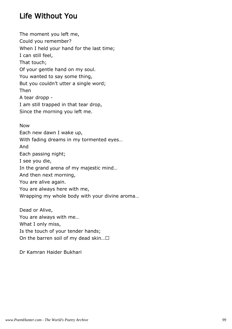# Life Without You

The moment you left me, Could you remember? When I held your hand for the last time; I can still feel, That touch; Of your gentle hand on my soul. You wanted to say some thing, But you couldn't utter a single word; Then A tear dropp - I am still trapped in that tear drop, Since the morning you left me.

Now Each new dawn I wake up, With fading dreams in my tormented eyes… And Each passing night; I see you die, In the grand arena of my majestic mind… And then next morning, You are alive again. You are always here with me, Wrapping my whole body with your divine aroma…

Dead or Alive, You are always with me… What I only miss, Is the touch of your tender hands; On the barren soil of my dead skin…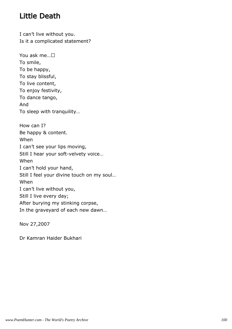# Little Death

I can't live without you. Is it a complicated statement?

You ask me… To smile, To be happy, To stay blissful, To live content, To enjoy festivity, To dance tango, And To sleep with tranquility… How can I? Be happy & content. When I can't see your lips moving, Still I hear your soft-velvety voice… When I can't hold your hand, Still I feel your divine touch on my soul… When I can't live without you, Still I live every day; After burying my stinking corpse, In the graveyard of each new dawn…

Nov 27,2007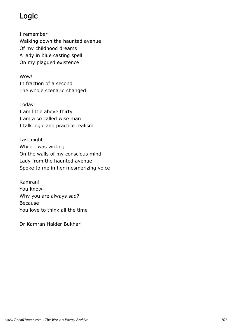# Logic

I remember Walking down the haunted avenue Of my childhood dreams A lady in blue casting spell On my plagued existence

Wow! In fraction of a second The whole scenario changed

Today I am little above thirty I am a so called wise man I talk logic and practice realism

Last night While I was writing On the walls of my conscious mind Lady from the haunted avenue Spoke to me in her mesmerizing voice

Kamran! You know-Why you are always sad? Because You love to think all the time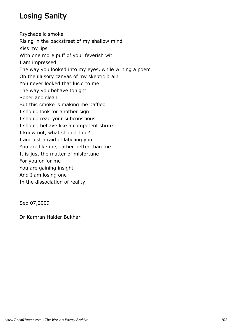# Losing Sanity

Psychedelic smoke Rising in the backstreet of my shallow mind Kiss my lips With one more puff of your feverish wit I am impressed The way you looked into my eyes, while writing a poem On the illusory canvas of my skeptic brain You never looked that lucid to me The way you behave tonight Sober and clean But this smoke is making me baffled I should look for another sign I should read your subconscious I should behave like a competent shrink I know not, what should I do? I am just afraid of labeling you You are like me, rather better than me It is just the matter of misfortune For you or for me You are gaining insight And I am losing one In the dissociation of reality

Sep 07,2009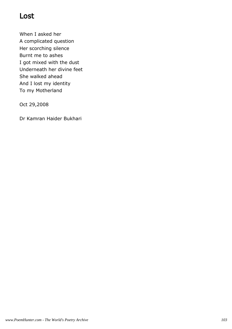## Lost

When I asked her A complicated question Her scorching silence Burnt me to ashes I got mixed with the dust Underneath her divine feet She walked ahead And I lost my identity To my Motherland

Oct 29,2008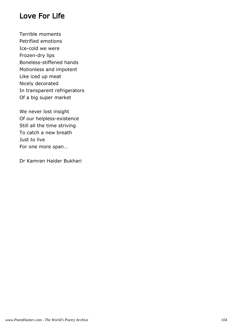#### Love For Life

Terrible moments Petrified emotions Ice-cold we were Frozen-dry lips Boneless-stiffened hands Motionless and impotent Like iced up meat Nicely decorated In transparent refrigerators Of a big super market

We never lost insight Of our helpless-existence Still all the time striving To catch a new breath Just to live For one more span…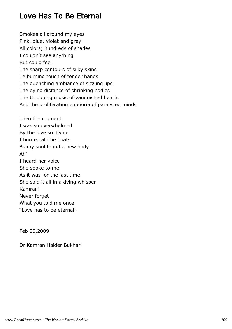## Love Has To Be Eternal

Smokes all around my eyes Pink, blue, violet and grey All colors; hundreds of shades I couldn't see anything But could feel The sharp contours of silky skins Te burning touch of tender hands The quenching ambiance of sizzling lips The dying distance of shrinking bodies The throbbing music of vanquished hearts And the proliferating euphoria of paralyzed minds Then the moment I was so overwhelmed By the love so divine I burned all the boats As my soul found a new body Ah' I heard her voice She spoke to me As it was for the last time She said it all in a dying whisper Kamran! Never forget What you told me once

"Love has to be eternal"

Feb 25,2009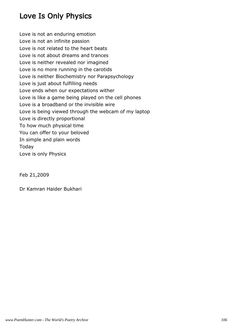# Love Is Only Physics

Love is not an enduring emotion Love is not an infinite passion Love is not related to the heart beats Love is not about dreams and trances Love is neither revealed nor imagined Love is no more running in the carotids Love is neither Biochemistry nor Parapsychology Love is just about fulfilling needs Love ends when our expectations wither Love is like a game being played on the cell phones Love is a broadband or the invisible wire Love is being viewed through the webcam of my laptop Love is directly proportional To how much physical time You can offer to your beloved In simple and plain words Today Love is only Physics

Feb 21,2009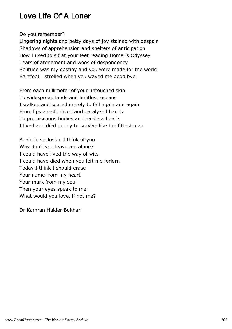# Love Life Of A Loner

Do you remember?

Lingering nights and petty days of joy stained with despair Shadows of apprehension and shelters of anticipation How I used to sit at your feet reading Homer's Odyssey Tears of atonement and woes of despondency Solitude was my destiny and you were made for the world Barefoot I strolled when you waved me good bye

From each millimeter of your untouched skin To widespread lands and limitless oceans I walked and soared merely to fall again and again From lips anesthetized and paralyzed hands To promiscuous bodies and reckless hearts I lived and died purely to survive like the fittest man

Again in seclusion I think of you Why don't you leave me alone? I could have lived the way of wits I could have died when you left me forlorn Today I think I should erase Your name from my heart Your mark from my soul Then your eyes speak to me What would you love, if not me?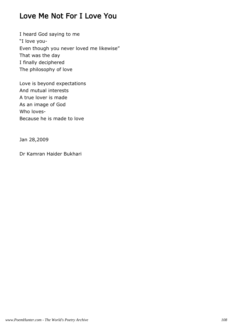## Love Me Not For I Love You

I heard God saying to me "I love you-Even though you never loved me likewise" That was the day I finally deciphered The philosophy of love

Love is beyond expectations And mutual interests A true lover is made As an image of God Who loves-Because he is made to love

Jan 28,2009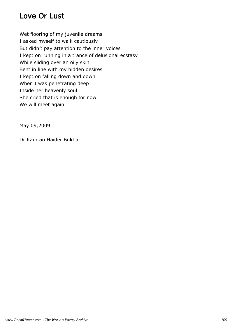## Love Or Lust

Wet flooring of my juvenile dreams I asked myself to walk cautiously But didn't pay attention to the inner voices I kept on running in a trance of delusional ecstasy While sliding over an oily skin Bent in line with my hidden desires I kept on falling down and down When I was penetrating deep Inside her heavenly soul She cried that is enough for now We will meet again

May 09,2009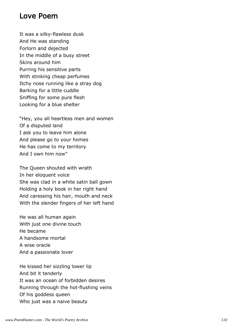#### Love Poem

It was a silky-flawless dusk And He was standing Forlorn and dejected In the middle of a busy street Skins around him Purring his sensitive parts With stinking cheap perfumes Itchy nose running like a stray dog Barking for a little cuddle Sniffing for some pure flesh Looking for a blue shelter

"Hey, you all heartless men and women Of a disputed land I ask you to leave him alone And please go to your homes He has come to my territory And I own him now"

The Queen shouted with wrath In her eloquent voice She was clad in a white satin ball gown Holding a holy book in her right hand And caressing his hair, mouth and neck With the slender fingers of her left hand

He was all human again With just one divine touch He became A handsome mortal A wise oracle And a passionate lover

He kissed her sizzling lower lip And bit it tenderly It was an ocean of forbidden desires Running through the hot-flushing veins Of his goddess queen Who just was a naive beauty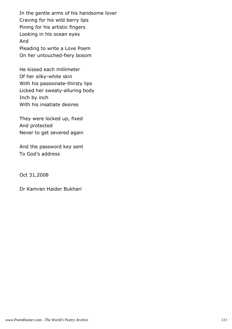In the gentle arms of his handsome lover Craving for his wild berry lips Pining for his artistic fingers Looking in his ocean eyes And Pleading to write a Love Poem On her untouched-fiery bosom

He kissed each millimeter Of her silky-white skin With his passionate-thirsty lips Licked her sweaty-alluring body Inch by inch With his insatiate desires

They were locked up, fixed And protected Never to get severed again

And the password key sent To God's address

Oct 31,2008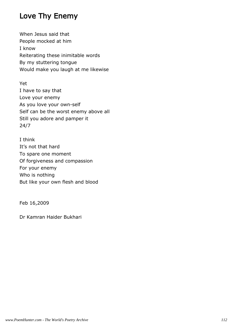## Love Thy Enemy

When Jesus said that People mocked at him I know Reiterating these inimitable words By my stuttering tongue Would make you laugh at me likewise

Yet I have to say that Love your enemy As you love your own-self Self can be the worst enemy above all Still you adore and pamper it 24/7

I think It's not that hard To spare one moment Of forgiveness and compassion For your enemy Who is nothing But like your own flesh and blood

Feb 16,2009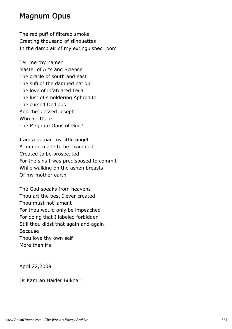#### Magnum Opus

The red puff of filtered smoke Creating thousand of silhouettes In the damp air of my extinguished room

Tell me thy name? Master of Arts and Science The oracle of south and east The sufi of the damned nation The love of infatuated Leila The lust of smoldering Aphrodite The cursed Oedipus And the blessed Joseph Who art thou-The Magnum Opus of God?

I am a human my little angel A human made to be examined Created to be prosecuted For the sins I was predisposed to commit While walking on the ashen breasts Of my mother earth

The God speaks from heavens Thou art the best I ever created Thou must not lament For thou would only be impeached For doing that I labeled forbidden Still thou didst that again and again Because Thou love thy own self More than Me

April 22,2009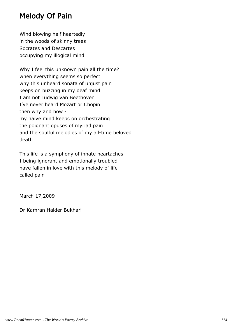## Melody Of Pain

Wind blowing half heartedly in the woods of skinny trees Socrates and Descartes occupying my illogical mind

Why I feel this unknown pain all the time? when everything seems so perfect why this unheard sonata of unjust pain keeps on buzzing in my deaf mind I am not Ludwig van Beethoven I've never heard Mozart or Chopin then why and how my naïve mind keeps on orchestrating the poignant opuses of myriad pain and the soulful melodies of my all-time beloved death

This life is a symphony of innate heartaches I being ignorant and emotionally troubled have fallen in love with this melody of life called pain

March 17,2009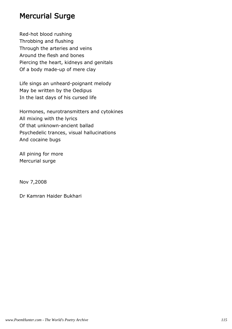#### Mercurial Surge

Red-hot blood rushing Throbbing and flushing Through the arteries and veins Around the flesh and bones Piercing the heart, kidneys and genitals Of a body made-up of mere clay

Life sings an unheard-poignant melody May be written by the Oedipus In the last days of his cursed life

Hormones, neurotransmitters and cytokines All mixing with the lyrics Of that unknown-ancient ballad Psychedelic trances, visual hallucinations And cocaine bugs

All pining for more Mercurial surge

Nov 7,2008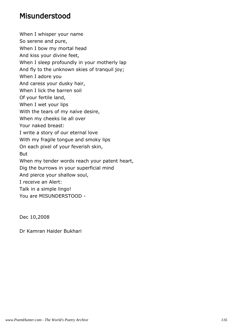#### Misunderstood

When I whisper your name So serene and pure, When I bow my mortal head And kiss your divine feet, When I sleep profoundly in your motherly lap And fly to the unknown skies of tranquil joy; When I adore you And caress your dusky hair, When I lick the barren soil Of your fertile land, When I wet your lips With the tears of my naïve desire, When my cheeks lie all over Your naked breast: I write a story of our eternal love With my fragile tongue and smoky lips On each pixel of your feverish skin, But When my tender words reach your patent heart, Dig the burrows in your superficial mind And pierce your shallow soul, I receive an Alert: Talk in a simple lingo! You are MISUNDERSTOOD -

Dec 10,2008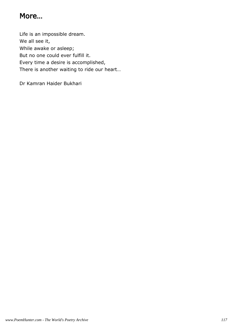## More…

Life is an impossible dream. We all see it, While awake or asleep; But no one could ever fulfill it. Every time a desire is accomplished, There is another waiting to ride our heart…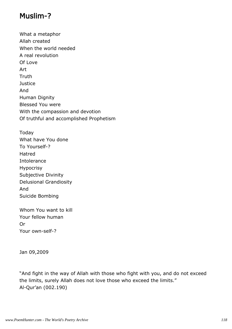## Muslim-?

What a metaphor Allah created When the world needed A real revolution Of Love Art Truth **Justice** And Human Dignity Blessed You were With the compassion and devotion Of truthful and accomplished Prophetism

Today What have You done To Yourself-? Hatred Intolerance Hypocrisy Subjective Divinity Delusional Grandiosity And Suicide Bombing

Whom You want to kill Your fellow human Or Your own-self-?

Jan 09,2009

"And fight in the way of Allah with those who fight with you, and do not exceed the limits, surely Allah does not love those who exceed the limits." Al-Qur'an (002.190)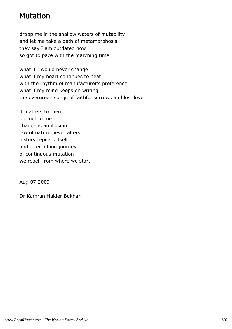## Mutation

dropp me in the shallow waters of mutability and let me take a bath of metamorphosis they say I am outdated now so got to pace with the marching time

what if I would never change what if my heart continues to beat with the rhythm of manufacturer's preference what if my mind keeps on writing the evergreen songs of faithful sorrows and lost love

it matters to them but not to me change is an illusion law of nature never alters history repeats itself and after a long journey of continuous mutation we reach from where we start

Aug 07,2009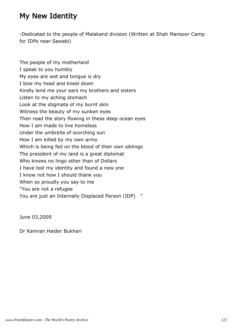## My New Identity

-Dedicated to the people of Malakand division (Written at Shah Mansoor Camp for IDPs near Sawabi)

The people of my motherland I speak to you humbly My eyes are wet and tongue is dry I bow my head and kneel down Kindly lend me your ears my brothers and sisters Listen to my aching stomach Look at the stigmata of my burnt skin Witness the beauty of my sunken eyes Then read the story flowing in these deep ocean eyes How I am made to live homeless Under the umbrella of scorching sun How I am killed by my own army Which is being fed on the blood of their own siblings The president of my land is a great diplomat Who knows no lingo other than of Dollars I have lost my identity and found a new one I know not how I should thank you When so proudly you say to me "You are not a refugee You are just an Internally Displaced Person (IDP) "

June 03,2009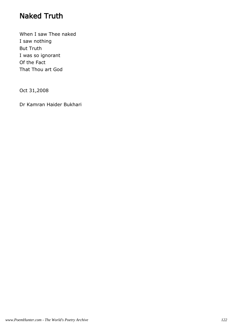## Naked Truth

When I saw Thee naked I saw nothing But Truth I was so ignorant Of the Fact That Thou art God

Oct 31,2008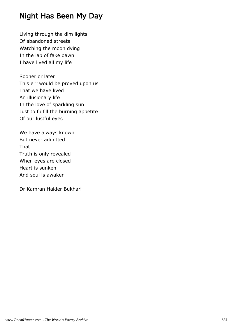## Night Has Been My Day

Living through the dim lights Of abandoned streets Watching the moon dying In the lap of fake dawn I have lived all my life

Sooner or later This err would be proved upon us That we have lived An illusionary life In the love of sparkling sun Just to fulfill the burning appetite Of our lustful eyes

We have always known But never admitted That Truth is only revealed When eyes are closed Heart is sunken And soul is awaken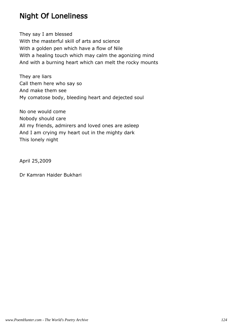## Night Of Loneliness

They say I am blessed With the masterful skill of arts and science With a golden pen which have a flow of Nile With a healing touch which may calm the agonizing mind And with a burning heart which can melt the rocky mounts

They are liars Call them here who say so And make them see My comatose body, bleeding heart and dejected soul

No one would come Nobody should care All my friends, admirers and loved ones are asleep And I am crying my heart out in the mighty dark This lonely night

April 25,2009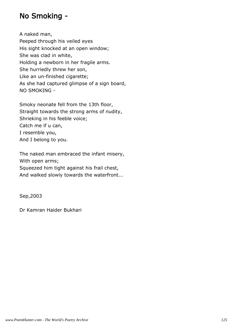## No Smoking -

A naked man, Peeped through his veiled eyes His sight knocked at an open window; She was clad in white, Holding a newborn in her fragile arms. She hurriedly threw her son, Like an un-finished cigarette; As she had captured glimpse of a sign board, NO SMOKING -

Smoky neonate fell from the 13th floor, Straight towards the strong arms of nudity, Shrieking in his feeble voice; Catch me if u can, I resemble you, And I belong to you.

The naked man embraced the infant misery, With open arms; Squeezed him tight against his frail chest, And walked slowly towards the waterfront...

Sep,2003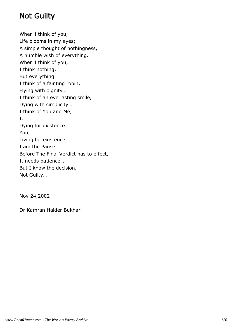## Not Guilty

When I think of you, Life blooms in my eyes; A simple thought of nothingness, A humble wish of everything. When I think of you, I think nothing, But everything. I think of a fainting robin, Flying with dignity… I think of an everlasting smile, Dying with simplicity… I think of You and Me, I, Dying for existence… You, Living for existence… I am the Pause… Before The Final Verdict has to effect, It needs patience… But I know the decision, Not Guilty…

Nov 24,2002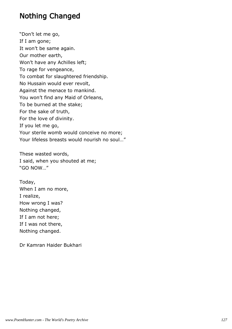#### Nothing Changed

"Don't let me go, If I am gone; It won't be same again. Our mother earth, Won't have any Achilles left; To rage for vengeance, To combat for slaughtered friendship. No Hussain would ever revolt, Against the menace to mankind. You won't find any Maid of Orleans, To be burned at the stake; For the sake of truth, For the love of divinity. If you let me go, Your sterile womb would conceive no more; Your lifeless breasts would nourish no soul…"

These wasted words, I said, when you shouted at me; "GO NOW…"

Today, When I am no more, I realize, How wrong I was? Nothing changed, If I am not here; If I was not there, Nothing changed.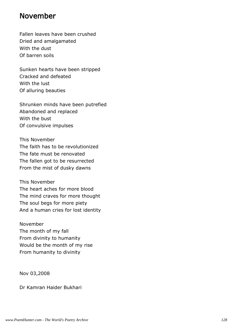#### November

Fallen leaves have been crushed Dried and amalgamated With the dust Of barren soils

Sunken hearts have been stripped Cracked and defeated With the lust Of alluring beauties

Shrunken minds have been putrefied Abandoned and replaced With the bust Of convulsive impulses

This November The faith has to be revolutionized The fate must be renovated The fallen got to be resurrected From the mist of dusky dawns

This November The heart aches for more blood The mind craves for more thought The soul begs for more piety And a human cries for lost identity

November The month of my fall From divinity to humanity Would be the month of my rise From humanity to divinity

Nov 03,2008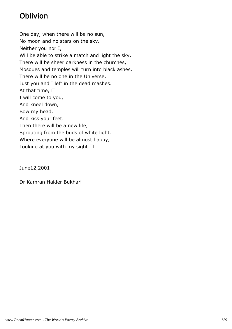# Oblivion

One day, when there will be no sun, No moon and no stars on the sky. Neither you nor I, Will be able to strike a match and light the sky. There will be sheer darkness in the churches, Mosques and temples will turn into black ashes. There will be no one in the Universe, Just you and I left in the dead mashes. At that time, I will come to you, And kneel down, Bow my head, And kiss your feet. Then there will be a new life, Sprouting from the buds of white light. Where everyone will be almost happy, Looking at you with my sight. 

June12,2001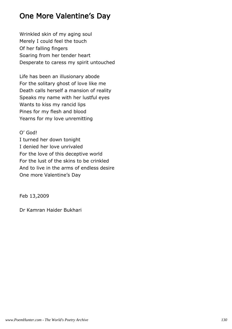# One More Valentine's Day

Wrinkled skin of my aging soul Merely I could feel the touch Of her falling fingers Soaring from her tender heart Desperate to caress my spirit untouched

Life has been an illusionary abode For the solitary ghost of love like me Death calls herself a mansion of reality Speaks my name with her lustful eyes Wants to kiss my rancid lips Pines for my flesh and blood Yearns for my love unremitting

O' God! I turned her down tonight I denied her love unrivaled For the love of this deceptive world For the lust of the skins to be crinkled And to live in the arms of endless desire One more Valentine's Day

Feb 13,2009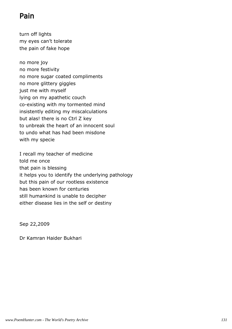# Pain

turn off lights my eyes can't tolerate the pain of fake hope

no more joy no more festivity no more sugar coated compliments no more glittery giggles just me with myself lying on my apathetic couch co-existing with my tormented mind insistently editing my miscalculations but alas! there is no Ctrl Z key to unbreak the heart of an innocent soul to undo what has had been misdone with my specie

I recall my teacher of medicine told me once that pain is blessing it helps you to identify the underlying pathology but this pain of our rootless existence has been known for centuries still humankind is unable to decipher either disease lies in the self or destiny

Sep 22,2009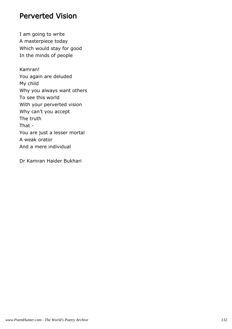#### Perverted Vision

I am going to write A masterpiece today Which would stay for good In the minds of people

Kamran! You again are deluded My child Why you always want others To see this world With your perverted vision Why can't you accept The truth That - You are just a lesser mortal A weak orator And a mere individual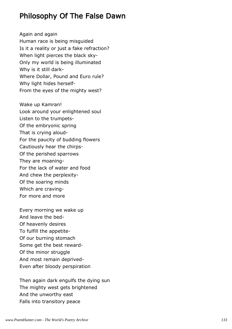#### Philosophy Of The False Dawn

Again and again Human race is being misguided Is it a reality or just a fake refraction? When light pierces the black sky-Only my world is being illuminated Why is it still dark-Where Dollar, Pound and Euro rule? Why light hides herself-From the eyes of the mighty west?

Wake up Kamran! Look around your enlightened soul Listen to the trumpets-Of the embryonic spring That is crying aloud-For the paucity of budding flowers Cautiously hear the chirps-Of the perished sparrows They are moaning-For the lack of water and food And chew the perplexity-Of the soaring minds Which are craving-For more and more

Every morning we wake up And leave the bed-Of heavenly desires To fulfill the appetite-Of our burning stomach Some get the best reward-Of the minor struggle And most remain deprived-Even after bloody perspiration

Then again dark engulfs the dying sun The mighty west gets brightened And the unworthy east Falls into transitory peace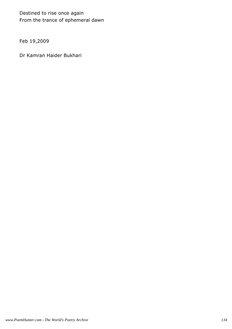Destined to rise once again From the trance of ephemeral dawn

Feb 19,2009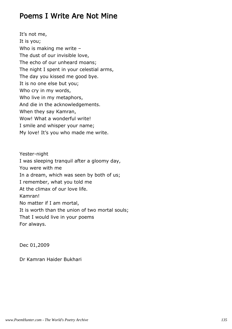#### Poems I Write Are Not Mine

It's not me, It is you; Who is making me write – The dust of our invisible love, The echo of our unheard moans; The night I spent in your celestial arms, The day you kissed me good bye. It is no one else but you; Who cry in my words, Who live in my metaphors, And die in the acknowledgements. When they say Kamran, Wow! What a wonderful write! I smile and whisper your name; My love! It's you who made me write.

Yester-night I was sleeping tranquil after a gloomy day, You were with me In a dream, which was seen by both of us; I remember, what you told me At the climax of our love life. Kamran! No matter if I am mortal, It is worth than the union of two mortal souls; That I would live in your poems For always.

Dec 01,2009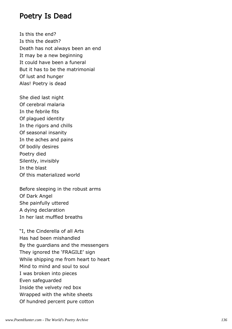#### Poetry Is Dead

Is this the end? Is this the death? Death has not always been an end It may be a new beginning It could have been a funeral But it has to be the matrimonial Of lust and hunger Alas! Poetry is dead

She died last night Of cerebral malaria In the febrile fits Of plagued identity In the rigors and chills Of seasonal insanity In the aches and pains Of bodily desires Poetry died Silently, invisibly In the blast Of this materialized world

Before sleeping in the robust arms Of Dark Angel She painfully uttered A dying declaration In her last muffled breaths

"I, the Cinderella of all Arts Has had been mishandled By the guardians and the messengers They ignored the 'FRAGILE' sign While shipping me from heart to heart Mind to mind and soul to soul I was broken into pieces Even safeguarded Inside the velvety red box Wrapped with the white sheets Of hundred percent pure cotton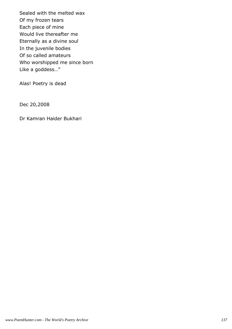Sealed with the melted wax Of my frozen tears Each piece of mine Would live thereafter me Eternally as a divine soul In the juvenile bodies Of so called amateurs Who worshipped me since born Like a goddess…"

Alas! Poetry is dead

Dec 20,2008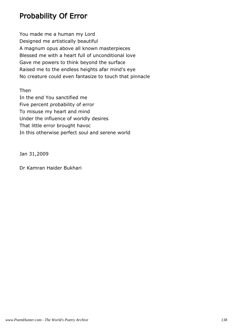# Probability Of Error

You made me a human my Lord Designed me artistically beautiful A magnum opus above all known masterpieces Blessed me with a heart full of unconditional love Gave me powers to think beyond the surface Raised me to the endless heights afar mind's eye No creature could even fantasize to touch that pinnacle

Then

In the end You sanctified me Five percent probability of error To misuse my heart and mind Under the influence of worldly desires That little error brought havoc In this otherwise perfect soul and serene world

Jan 31,2009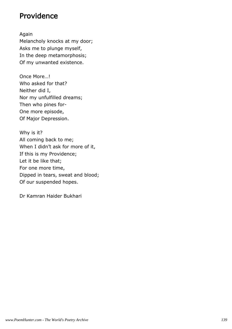#### Providence

Again Melancholy knocks at my door; Asks me to plunge myself, In the deep metamorphosis; Of my unwanted existence.

Once More…! Who asked for that? Neither did I, Nor my unfulfilled dreams; Then who pines for-One more episode, Of Major Depression.

Why is it? All coming back to me; When I didn't ask for more of it, If this is my Providence; Let it be like that; For one more time, Dipped in tears, sweat and blood; Of our suspended hopes.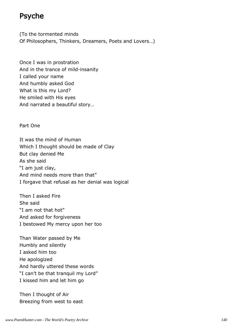#### Psyche

(To the tormented minds Of Philosophers, Thinkers, Dreamers, Poets and Lovers…)

Once I was in prostration And in the trance of mild-insanity I called your name And humbly asked God What is this my Lord? He smiled with His eyes And narrated a beautiful story…

Part One

It was the mind of Human Which I thought should be made of Clay But clay denied Me As she said "I am just clay, And mind needs more than that" I forgave that refusal as her denial was logical

Then I asked Fire She said "I am not that hot" And asked for forgiveness I bestowed My mercy upon her too

Than Water passed by Me Humbly and silently I asked him too He apologized And hardly uttered these words "I can't be that tranquil my Lord" I kissed him and let him go

Then I thought of Air Breezing from west to east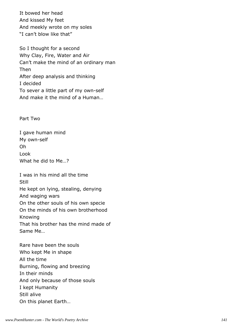It bowed her head And kissed My feet And meekly wrote on my soles "I can't blow like that"

So I thought for a second Why Clay, Fire, Water and Air Can't make the mind of an ordinary man Then After deep analysis and thinking I decided To sever a little part of my own-self And make it the mind of a Human…

Part Two

I gave human mind My own-self Oh Look What he did to Me…?

I was in his mind all the time Still He kept on lying, stealing, denying And waging wars On the other souls of his own specie On the minds of his own brotherhood Knowing That his brother has the mind made of Same Me…

Rare have been the souls Who kept Me in shape All the time Burning, flowing and breezing In their minds And only because of those souls I kept Humanity Still alive On this planet Earth…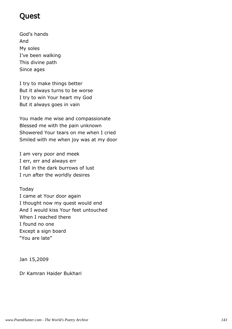## Quest

God's hands And My soles I've been walking This divine path Since ages

I try to make things better But it always turns to be worse I try to win Your heart my God But it always goes in vain

You made me wise and compassionate Blessed me with the pain unknown Showered Your tears on me when I cried Smiled with me when joy was at my door

I am very poor and meek I err, err and always err I fall in the dark burrows of lust I run after the worldly desires

#### Today

I came at Your door again I thought now my quest would end And I would kiss Your feet untouched When I reached there I found no one Except a sign board "You are late"

Jan 15,2009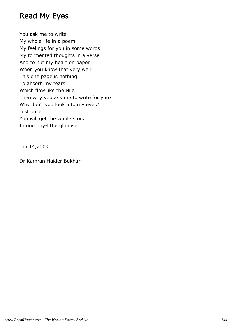### Read My Eyes

You ask me to write My whole life in a poem My feelings for you in some words My tormented thoughts in a verse And to put my heart on paper When you know that very well This one page is nothing To absorb my tears Which flow like the Nile Then why you ask me to write for you? Why don't you look into my eyes? Just once You will get the whole story In one tiny-little glimpse

Jan 14,2009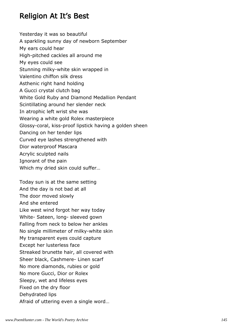## Religion At It's Best

Yesterday it was so beautiful A sparkling sunny day of newborn September My ears could hear High-pitched cackles all around me My eyes could see Stunning milky-white skin wrapped in Valentino chiffon silk dress Asthenic right hand holding A Gucci crystal clutch bag White Gold Ruby and Diamond Medallion Pendant Scintillating around her slender neck In atrophic left wrist she was Wearing a white gold Rolex masterpiece Glossy-coral, kiss-proof lipstick having a golden sheen Dancing on her tender lips Curved eye lashes strengthened with Dior waterproof Mascara Acrylic sculpted nails Ignorant of the pain Which my dried skin could suffer…

Today sun is at the same setting And the day is not bad at all The door moved slowly And she entered Like west wind forgot her way today White- Sateen, long- sleeved gown Falling from neck to below her ankles No single millimeter of milky-white skin My transparent eyes could capture Except her lusterless face Streaked brunette hair, all covered with Sheer black, Cashmere- Linen scarf No more diamonds, rubies or gold No more Gucci, Dior or Rolex Sleepy, wet and lifeless eyes Fixed on the dry floor Dehydrated lips Afraid of uttering even a single word…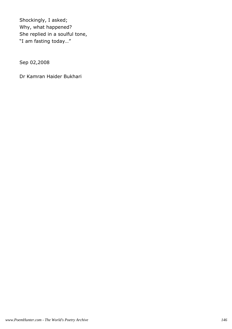Shockingly, I asked; Why, what happened? She replied in a soulful tone, "I am fasting today…"

Sep 02,2008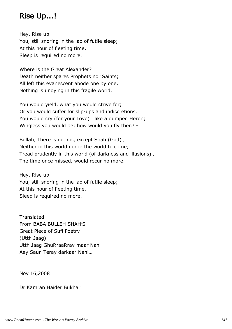# Rise Up...!

Hey, Rise up! You, still snoring in the lap of futile sleep; At this hour of fleeting time, Sleep is required no more.

Where is the Great Alexander? Death neither spares Prophets nor Saints; All left this evanescent abode one by one, Nothing is undying in this fragile world.

You would yield, what you would strive for; Or you would suffer for slip-ups and indiscretions. You would cry (for your Love) like a dumped Heron; Wingless you would be; how would you fly then? -

Bullah, There is nothing except Shah (God) , Neither in this world nor in the world to come; Tread prudently in this world (of darkness and illusions) , The time once missed, would recur no more.

Hey, Rise up! You, still snoring in the lap of futile sleep; At this hour of fleeting time, Sleep is required no more.

**Translated** From BABA BULLEH SHAH'S Great Piece of Sufi Poetry (Utth Jaag) Utth Jaag GhuRraaRray maar Nahi Aey Saun Teray darkaar Nahi…

Nov 16,2008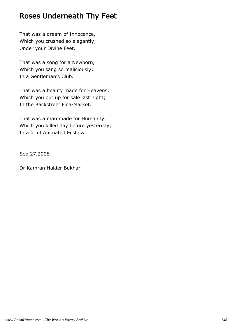### Roses Underneath Thy Feet

That was a dream of Innocence, Which you crushed so elegantly; Under your Divine Feet.

That was a song for a Newborn, Which you sang so maliciously; In a Gentleman's Club.

That was a beauty made for Heavens, Which you put up for sale last night; In the Backstreet Flea-Market.

That was a man made for Humanity, Which you killed day before yesterday; In a fit of Animated Ecstasy.

Sep 27,2008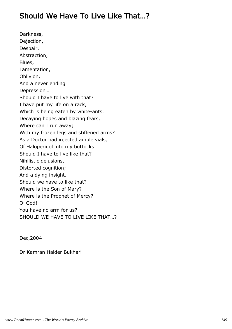## Should We Have To Live Like That…?

Darkness, Dejection, Despair, Abstraction, Blues, Lamentation, Oblivion, And a never ending Depression… Should I have to live with that? I have put my life on a rack, Which is being eaten by white-ants. Decaying hopes and blazing fears, Where can I run away; With my frozen legs and stiffened arms? As a Doctor had injected ample vials, Of Haloperidol into my buttocks. Should I have to live like that? Nihilistic delusions, Distorted cognition; And a dying insight. Should we have to like that? Where is the Son of Mary? Where is the Prophet of Mercy? O' God! You have no arm for us? SHOULD WE HAVE TO LIVE LIKE THAT...?

Dec,2004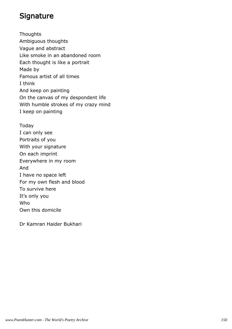## **Signature**

**Thoughts** Ambiguous thoughts Vague and abstract Like smoke in an abandoned room Each thought is like a portrait Made by Famous artist of all times I think And keep on painting On the canvas of my despondent life With humble strokes of my crazy mind I keep on painting

Today I can only see Portraits of you With your signature On each imprint Everywhere in my room And I have no space left For my own flesh and blood To survive here It's only you Who Own this domicile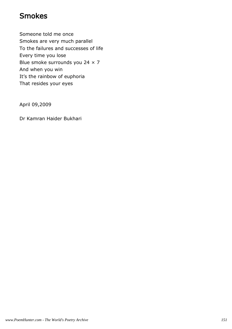## Smokes

Someone told me once Smokes are very much parallel To the failures and successes of life Every time you lose Blue smoke surrounds you 24 × 7 And when you win It's the rainbow of euphoria That resides your eyes

April 09,2009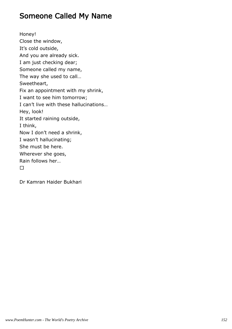### Someone Called My Name

Honey! Close the window, It's cold outside, And you are already sick. I am just checking dear; Someone called my name, The way she used to call… Sweetheart, Fix an appointment with my shrink, I want to see him tomorrow; I can't live with these hallucinations… Hey, look! It started raining outside, I think, Now I don't need a shrink, I wasn't hallucinating; She must be here. Wherever she goes, Rain follows her…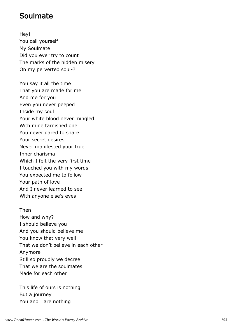#### Soulmate

Hey! You call yourself My Soulmate Did you ever try to count The marks of the hidden misery On my perverted soul-?

You say it all the time That you are made for me And me for you Even you never peeped Inside my soul Your white blood never mingled With mine tarnished one You never dared to share Your secret desires Never manifested your true Inner charisma Which I felt the very first time I touched you with my words You expected me to follow Your path of love And I never learned to see With anyone else's eyes

Then How and why? I should believe you And you should believe me You know that very well That we don't believe in each other Anymore Still so proudly we decree That we are the soulmates Made for each other

This life of ours is nothing But a journey You and I are nothing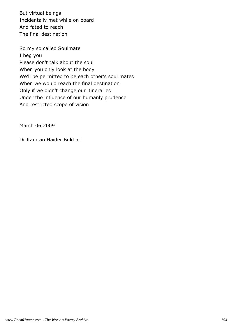But virtual beings Incidentally met while on board And fated to reach The final destination

So my so called Soulmate I beg you Please don't talk about the soul When you only look at the body We'll be permitted to be each other's soul mates When we would reach the final destination Only if we didn't change our itineraries Under the influence of our humanly prudence And restricted scope of vision

March 06,2009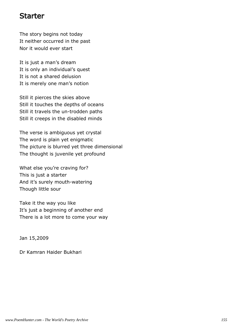#### Starter

The story begins not today It neither occurred in the past Nor it would ever start

It is just a man's dream It is only an individual's quest It is not a shared delusion It is merely one man's notion

Still it pierces the skies above Still it touches the depths of oceans Still it travels the un-trodden paths Still it creeps in the disabled minds

The verse is ambiguous yet crystal The word is plain yet enigmatic The picture is blurred yet three dimensional The thought is juvenile yet profound

What else you're craving for? This is just a starter And it's surely mouth-watering Though little sour

Take it the way you like It's just a beginning of another end There is a lot more to come your way

Jan 15,2009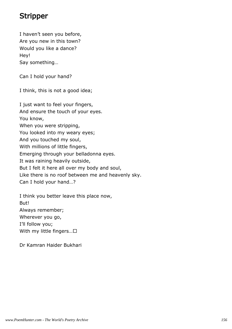# Stripper

I haven't seen you before, Are you new in this town? Would you like a dance? Hey! Say something…

Can I hold your hand?

I think, this is not a good idea;

I just want to feel your fingers, And ensure the touch of your eyes. You know, When you were stripping, You looked into my weary eyes; And you touched my soul, With millions of little fingers, Emerging through your belladonna eyes. It was raining heavily outside, But I felt it here all over my body and soul, Like there is no roof between me and heavenly sky. Can I hold your hand…?

I think you better leave this place now, But! Always remember; Wherever you go, I'll follow you; With my little fingers…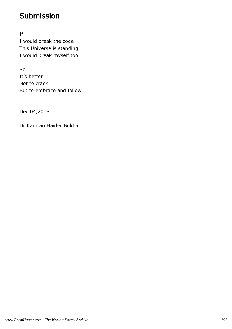## Submission

If I would break the code This Universe is standing I would break myself too

So It's better Not to crack But to embrace and follow

Dec 04,2008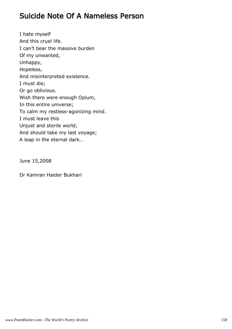### Suicide Note Of A Nameless Person

I hate myself And this cruel life. I can't bear the massive burden Of my unwanted, Unhappy, Hopeless, And misinterpreted existence. I must die; Or go oblivious. Wish there were enough Opium, In this entire universe; To calm my restless-agonizing mind. I must leave this Unjust and sterile world, And should take my last voyage; A leap in the eternal dark…

June 15,2008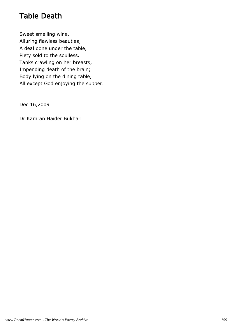## Table Death

Sweet smelling wine, Alluring flawless beauties; A deal done under the table, Piety sold to the soulless. Tanks crawling on her breasts, Impending death of the brain; Body lying on the dining table, All except God enjoying the supper.

Dec 16,2009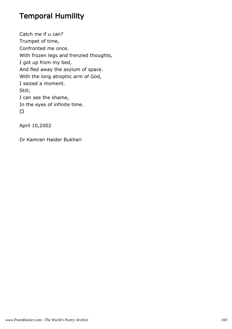# Temporal Humility

Catch me if u can? Trumpet of time, Confronted me once. With frozen legs and frenzied thoughts, I got up from my bed, And fled away the asylum of space. With the long atrophic arm of God, I seized a moment. Still; I can see the shame, In the eyes of infinite time.

April 10,2002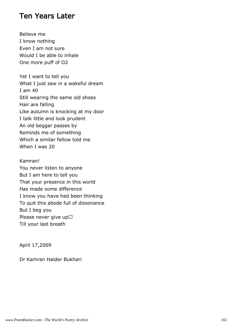#### Ten Years Later

Believe me I know nothing Even I am not sure Would I be able to inhale One more puff of O2

Yet I want to tell you What I just saw in a wakeful dream I am 40 Still wearing the same old shoes Hair are falling Like autumn is knocking at my door I talk little and look prudent An old beggar passes by Reminds me of something Which a similar fellow told me When I was 20

Kamran! You never listen to anyone But I am here to tell you That your presence in this world Has made some difference I know you have had been thinking To quit this abode full of dissonance But I beg you Please never give up Till your last breath

April 17,2009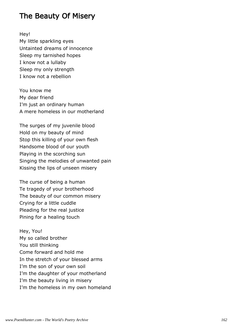### The Beauty Of Misery

Hey!

My little sparkling eyes Untainted dreams of innocence Sleep my tarnished hopes I know not a lullaby Sleep my only strength I know not a rebellion

You know me My dear friend I'm just an ordinary human A mere homeless in our motherland

The surges of my juvenile blood Hold on my beauty of mind Stop this killing of your own flesh Handsome blood of our youth Playing in the scorching sun Singing the melodies of unwanted pain Kissing the lips of unseen misery

The curse of being a human Te tragedy of your brotherhood The beauty of our common misery Crying for a little cuddle Pleading for the real justice Pining for a healing touch

Hey, You! My so called brother You still thinking Come forward and hold me In the stretch of your blessed arms I'm the son of your own soil I'm the daughter of your motherland I'm the beauty living in misery I'm the homeless in my own homeland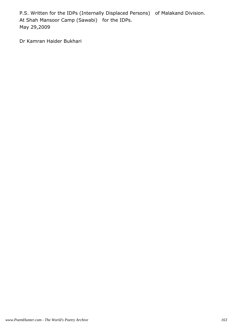P.S. Written for the IDPs (Internally Displaced Persons) of Malakand Division. At Shah Mansoor Camp (Sawabi) for the IDPs. May 29,2009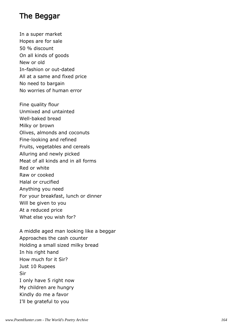## The Beggar

In a super market Hopes are for sale 50 % discount On all kinds of goods New or old In-fashion or out-dated All at a same and fixed price No need to bargain No worries of human error

Fine quality flour Unmixed and untainted Well-baked bread Milky or brown Olives, almonds and coconuts Fine-looking and refined Fruits, vegetables and cereals Alluring and newly picked Meat of all kinds and in all forms Red or white Raw or cooked Halal or crucified Anything you need For your breakfast, lunch or dinner Will be given to you At a reduced price What else you wish for?

A middle aged man looking like a beggar Approaches the cash counter Holding a small sized milky bread In his right hand How much for it Sir? Just 10 Rupees Sir I only have 5 right now My children are hungry Kindly do me a favor I'll be grateful to you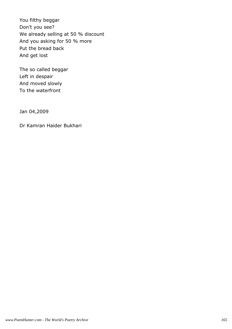You filthy beggar Don't you see? We already selling at 50 % discount And you asking for 50 % more Put the bread back And get lost

The so called beggar Left in despair And moved slowly To the waterfront

Jan 04,2009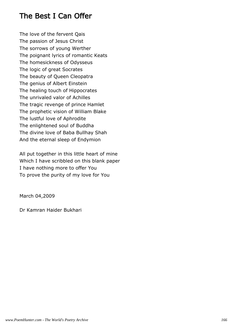### The Best I Can Offer

The love of the fervent Qais The passion of Jesus Christ The sorrows of young Werther The poignant lyrics of romantic Keats The homesickness of Odysseus The logic of great Socrates The beauty of Queen Cleopatra The genius of Albert Einstein The healing touch of Hippocrates The unrivaled valor of Achilles The tragic revenge of prince Hamlet The prophetic vision of William Blake The lustful love of Aphrodite The enlightened soul of Buddha The divine love of Baba Bullhay Shah And the eternal sleep of Endymion

All put together in this little heart of mine Which I have scribbled on this blank paper I have nothing more to offer You To prove the purity of my love for You

March 04,2009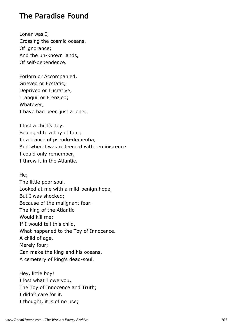### The Paradise Found

Loner was I; Crossing the cosmic oceans, Of ignorance; And the un-known lands, Of self-dependence.

Forlorn or Accompanied, Grieved or Ecstatic; Deprived or Lucrative, Tranquil or Frenzied; Whatever, I have had been just a loner.

I lost a child's Toy, Belonged to a boy of four; In a trance of pseudo-dementia, And when I was redeemed with reminiscence; I could only remember, I threw it in the Atlantic.

He;

The little poor soul, Looked at me with a mild-benign hope, But I was shocked; Because of the malignant fear. The king of the Atlantic Would kill me; If I would tell this child, What happened to the Toy of Innocence. A child of age, Merely four; Can make the king and his oceans, A cemetery of king's dead-soul.

Hey, little boy! I lost what I owe you, The Toy of Innocence and Truth; I didn't care for it. I thought, it is of no use;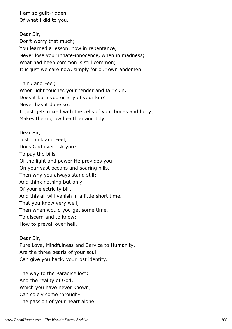I am so guilt-ridden, Of what I did to you.

Dear Sir, Don't worry that much; You learned a lesson, now in repentance, Never lose your innate-innocence, when in madness; What had been common is still common; It is just we care now, simply for our own abdomen.

Think and Feel; When light touches your tender and fair skin, Does it burn you or any of your kin? Never has it done so; It just gets mixed with the cells of your bones and body; Makes them grow healthier and tidy.

Dear Sir, Just Think and Feel; Does God ever ask you? To pay the bills, Of the light and power He provides you; On your vast oceans and soaring hills. Then why you always stand still; And think nothing but only, Of your electricity bill. And this all will vanish in a little short time, That you know very well; Then when would you get some time, To discern and to know; How to prevail over hell.

Dear Sir, Pure Love, Mindfulness and Service to Humanity, Are the three pearls of your soul; Can give you back, your lost identity.

The way to the Paradise lost; And the reality of God, Which you have never known; Can solely come through-The passion of your heart alone.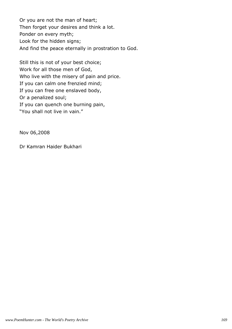Or you are not the man of heart; Then forget your desires and think a lot. Ponder on every myth; Look for the hidden signs; And find the peace eternally in prostration to God.

Still this is not of your best choice; Work for all those men of God, Who live with the misery of pain and price. If you can calm one frenzied mind; If you can free one enslaved body, Or a penalized soul; If you can quench one burning pain, "You shall not live in vain."

Nov 06,2008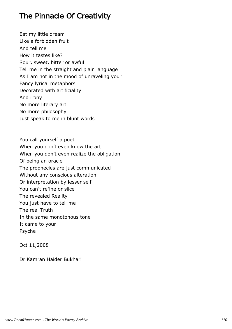# The Pinnacle Of Creativity

Eat my little dream Like a forbidden fruit And tell me How it tastes like? Sour, sweet, bitter or awful Tell me in the straight and plain language As I am not in the mood of unraveling your Fancy lyrical metaphors Decorated with artificiality And irony No more literary art No more philosophy Just speak to me in blunt words

You call yourself a poet When you don't even know the art When you don't even realize the obligation Of being an oracle The prophecies are just communicated Without any conscious alteration Or interpretation by lesser self You can't refine or slice The revealed Reality You just have to tell me The real Truth In the same monotonous tone It came to your Psyche

Oct 11,2008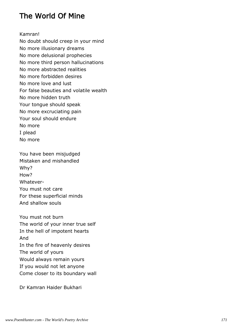# The World Of Mine

Kamran!

No doubt should creep in your mind No more illusionary dreams No more delusional prophecies No more third person hallucinations No more abstracted realities No more forbidden desires No more love and lust For false beauties and volatile wealth No more hidden truth Your tongue should speak No more excruciating pain Your soul should endure No more I plead No more

You have been misjudged Mistaken and mishandled Why? How? Whatever-You must not care For these superficial minds And shallow souls

You must not burn The world of your inner true self In the hell of impotent hearts And In the fire of heavenly desires The world of yours Would always remain yours If you would not let anyone Come closer to its boundary wall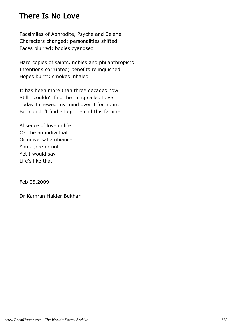## There Is No Love

Facsimiles of Aphrodite, Psyche and Selene Characters changed; personalities shifted Faces blurred; bodies cyanosed

Hard copies of saints, nobles and philanthropists Intentions corrupted; benefits relinquished Hopes burnt; smokes inhaled

It has been more than three decades now Still I couldn't find the thing called Love Today I chewed my mind over it for hours But couldn't find a logic behind this famine

Absence of love in life Can be an individual Or universal ambiance You agree or not Yet I would say Life's like that

Feb 05,2009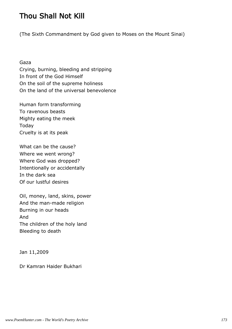# Thou Shall Not Kill

(The Sixth Commandment by God given to Moses on the Mount Sinai)

Gaza

Crying, burning, bleeding and stripping In front of the God Himself On the soil of the supreme holiness On the land of the universal benevolence

Human form transforming To ravenous beasts Mighty eating the meek Today Cruelty is at its peak

What can be the cause? Where we went wrong? Where God was dropped? Intentionally or accidentally In the dark sea Of our lustful desires

Oil, money, land, skins, power And the man-made religion Burning in our heads And The children of the holy land Bleeding to death

Jan 11,2009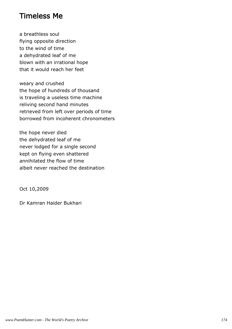#### Timeless Me

a breathless soul flying opposite direction to the wind of time a dehydrated leaf of me blown with an irrational hope that it would reach her feet

weary and crushed the hope of hundreds of thousand is traveling a useless time machine reliving second hand minutes retrieved from left over periods of time borrowed from incoherent chronometers

the hope never died the dehydrated leaf of me never lodged for a single second kept on flying even shattered annihilated the flow of time albeit never reached the destination

Oct 10,2009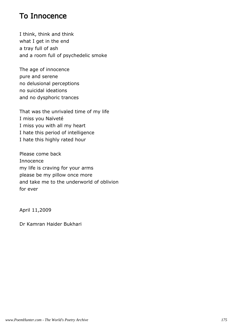## To Innocence

I think, think and think what I get in the end a tray full of ash and a room full of psychedelic smoke

The age of innocence pure and serene no delusional perceptions no suicidal ideations and no dysphoric trances

That was the unrivaled time of my life I miss you Naïveté I miss you with all my heart I hate this period of intelligence I hate this highly rated hour

Please come back Innocence my life is craving for your arms please be my pillow once more and take me to the underworld of oblivion for ever

April 11,2009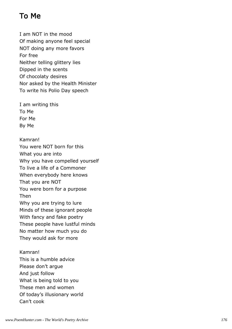# To Me

I am NOT in the mood Of making anyone feel special NOT doing any more favors For free Neither telling glittery lies Dipped in the scents Of chocolaty desires Nor asked by the Health Minister To write his Polio Day speech

I am writing this To Me For Me By Me

Kamran! You were NOT born for this What you are into Why you have compelled yourself To live a life of a Commoner When everybody here knows That you are NOT You were born for a purpose Then Why you are trying to lure Minds of these ignorant people With fancy and fake poetry These people have lustful minds No matter how much you do They would ask for more

Kamran! This is a humble advice Please don't argue And just follow What is being told to you These men and women Of today's illusionary world Can't cook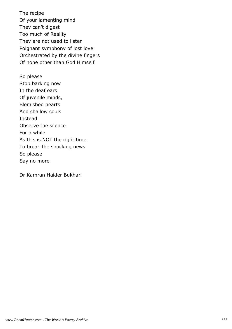The recipe Of your lamenting mind They can't digest Too much of Reality They are not used to listen Poignant symphony of lost love Orchestrated by the divine fingers Of none other than God Himself

So please Stop barking now In the deaf ears Of juvenile minds, Blemished hearts And shallow souls Instead Observe the silence For a while As this is NOT the right time To break the shocking news So please Say no more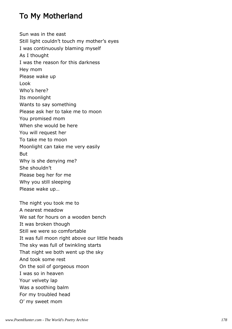## To My Motherland

Sun was in the east Still light couldn't touch my mother's eyes I was continuously blaming myself As I thought I was the reason for this darkness Hey mom Please wake up Look Who's here? Its moonlight Wants to say something Please ask her to take me to moon You promised mom When she would be here You will request her To take me to moon Moonlight can take me very easily But Why is she denying me? She shouldn't Please beg her for me Why you still sleeping Please wake up…

The night you took me to A nearest meadow We sat for hours on a wooden bench It was broken though Still we were so comfortable It was full moon right above our little heads The sky was full of twinkling starts That night we both went up the sky And took some rest On the soil of gorgeous moon I was so in heaven Your velvety lap Was a soothing balm For my troubled head O' my sweet mom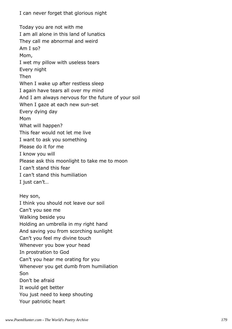I can never forget that glorious night

Today you are not with me I am all alone in this land of lunatics They call me abnormal and weird Am I so? Mom, I wet my pillow with useless tears Every night Then When I wake up after restless sleep I again have tears all over my mind And I am always nervous for the future of your soil When I gaze at each new sun-set Every dying day Mom What will happen? This fear would not let me live I want to ask you something Please do it for me I know you will Please ask this moonlight to take me to moon I can't stand this fear I can't stand this humiliation I just can't… Hey son, I think you should not leave our soil Can't you see me Walking beside you Holding an umbrella in my right hand And saving you from scorching sunlight Can't you feel my divine touch Whenever you bow your head In prostration to God Can't you hear me orating for you Whenever you get dumb from humiliation Son Don't be afraid It would get better You just need to keep shouting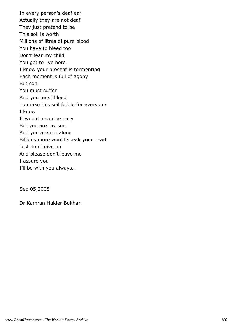In every person's deaf ear Actually they are not deaf They just pretend to be This soil is worth Millions of litres of pure blood You have to bleed too Don't fear my child You got to live here I know your present is tormenting Each moment is full of agony But son You must suffer And you must bleed To make this soil fertile for everyone I know It would never be easy But you are my son And you are not alone Billions more would speak your heart Just don't give up And please don't leave me I assure you I'll be with you always…

Sep 05,2008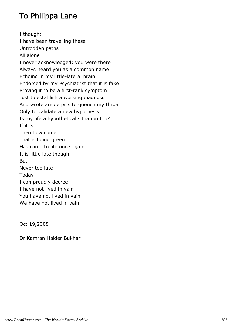### To Philippa Lane

I thought I have been travelling these Untrodden paths All alone I never acknowledged; you were there Always heard you as a common name Echoing in my little-lateral brain Endorsed by my Psychiatrist that it is fake Proving it to be a first-rank symptom Just to establish a working diagnosis And wrote ample pills to quench my throat Only to validate a new hypothesis Is my life a hypothetical situation too? If it is Then how come That echoing green Has come to life once again It is little late though But Never too late Today I can proudly decree I have not lived in vain You have not lived in vain We have not lived in vain

Oct 19,2008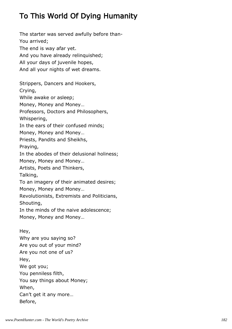# To This World Of Dying Humanity

The starter was served awfully before than-You arrived; The end is way afar yet. And you have already relinquished; All your days of juvenile hopes, And all your nights of wet dreams. Strippers, Dancers and Hookers, Crying, While awake or asleep; Money, Money and Money… Professors, Doctors and Philosophers, Whispering, In the ears of their confused minds; Money, Money and Money… Priests, Pandits and Sheikhs, Praying, In the abodes of their delusional holiness; Money, Money and Money… Artists, Poets and Thinkers, Talking, To an imagery of their animated desires; Money, Money and Money… Revolutionists, Extremists and Politicians, Shouting, In the minds of the naive adolescence; Money, Money and Money… Hey, Why are you saying so?

Are you out of your mind? Are you not one of us? Hey, We got you; You penniless filth, You say things about Money; When, Can't get it any more… Before,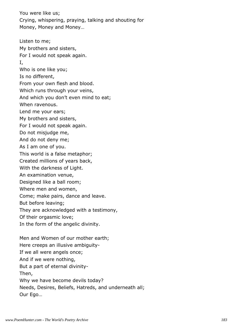You were like us; Crying, whispering, praying, talking and shouting for Money, Money and Money…

Listen to me; My brothers and sisters, For I would not speak again. I, Who is one like you; Is no different, From your own flesh and blood. Which runs through your veins, And which you don't even mind to eat; When ravenous. Lend me your ears; My brothers and sisters, For I would not speak again. Do not misjudge me, And do not deny me; As I am one of you. This world is a false metaphor; Created millions of years back, With the darkness of Light. An examination venue, Designed like a ball room; Where men and women, Come; make pairs, dance and leave. But before leaving; They are acknowledged with a testimony, Of their orgasmic love; In the form of the angelic divinity. Men and Women of our mother earth; Here creeps an illusive ambiguity-If we all were angels once; And if we were nothing,

But a part of eternal divinity-

Then,

Why we have become devils today?

Needs, Desires, Beliefs, Hatreds, and underneath all; Our Ego…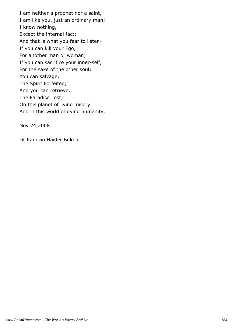I am neither a prophet nor a saint, I am like you, just an ordinary man; I know nothing, Except the internal fact; And that is what you fear to listen-If you can kill your Ego, For another man or woman; If you can sacrifice your inner-self, For the sake of the other soul; You can salvage, The Spirit Forfeited; And you can retrieve, The Paradise Lost; On this planet of living misery, And in this world of dying humanity.

Nov 24,2008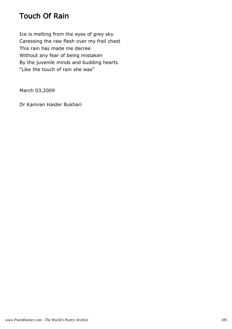### Touch Of Rain

Ice is melting from the eyes of grey sky Caressing the raw flesh over my frail chest This rain has made me decree Without any fear of being mistaken By the juvenile minds and budding hearts "Like the touch of rain she was"

March 03,2009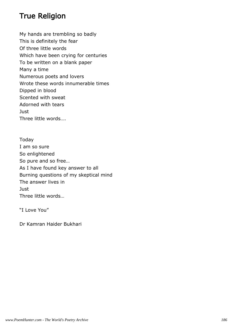#### True Religion

My hands are trembling so badly This is definitely the fear Of three little words Which have been crying for centuries To be written on a blank paper Many a time Numerous poets and lovers Wrote these words innumerable times Dipped in blood Scented with sweat Adorned with tears Just Three little words….

Today I am so sure So enlightened So pure and so free… As I have found key answer to all Burning questions of my skeptical mind The answer lives in Just Three little words…

"I Love You"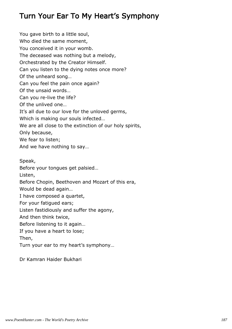# Turn Your Ear To My Heart's Symphony

You gave birth to a little soul, Who died the same moment, You conceived it in your womb. The deceased was nothing but a melody, Orchestrated by the Creator Himself. Can you listen to the dying notes once more? Of the unheard song… Can you feel the pain once again? Of the unsaid words… Can you re-live the life? Of the unlived one… It's all due to our love for the unloved germs, Which is making our souls infected… We are all close to the extinction of our holy spirits, Only because, We fear to listen; And we have nothing to say… Speak, Before your tongues get palsied… Listen, Before Chopin, Beethoven and Mozart of this era, Would be dead again… I have composed a quartet, For your fatigued ears; Listen fastidiously and suffer the agony, And then think twice, Before listening to it again… If you have a heart to lose; Then,

Turn your ear to my heart's symphony…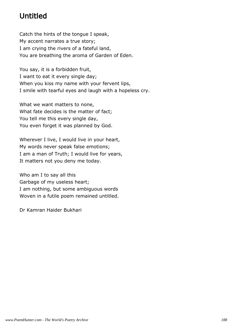# Untitled

Catch the hints of the tongue I speak, My accent narrates a true story; I am crying the rivers of a fateful land, You are breathing the aroma of Garden of Eden.

You say, it is a forbidden fruit, I want to eat it every single day; When you kiss my name with your fervent lips, I smile with tearful eyes and laugh with a hopeless cry.

What we want matters to none, What fate decides is the matter of fact; You tell me this every single day, You even forget it was planned by God.

Wherever I live, I would live in your heart, My words never speak false emotions; I am a man of Truth; I would live for years, It matters not you deny me today.

Who am I to say all this Garbage of my useless heart; I am nothing, but some ambiguous words Woven in a futile poem remained untitled.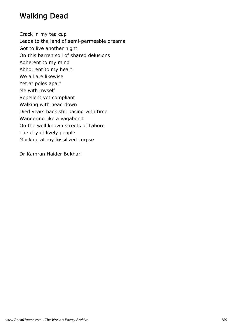### Walking Dead

Crack in my tea cup

Leads to the land of semi-permeable dreams

Got to live another night

On this barren soil of shared delusions

Adherent to my mind

Abhorrent to my heart

We all are likewise

Yet at poles apart

Me with myself

Repellent yet compliant

Walking with head down

Died years back still pacing with time

Wandering like a vagabond

On the well known streets of Lahore

The city of lively people

Mocking at my fossilized corpse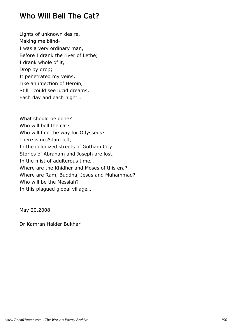#### Who Will Bell The Cat?

Lights of unknown desire, Making me blind-I was a very ordinary man, Before I drank the river of Lethe; I drank whole of it, Drop by drop; It penetrated my veins, Like an injection of Heroin, Still I could see lucid dreams, Each day and each night…

What should be done? Who will bell the cat? Who will find the way for Odysseus? There is no Adam left, In the colonized streets of Gotham City… Stories of Abraham and Joseph are lost, In the mist of adulterous time… Where are the Khidher and Moses of this era? Where are Ram, Buddha, Jesus and Muhammad? Who will be the Messiah? In this plagued global village…

May 20,2008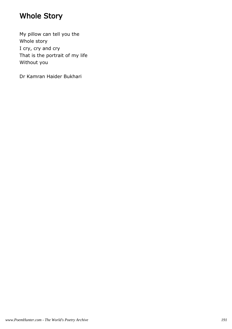## Whole Story

My pillow can tell you the Whole story I cry, cry and cry That is the portrait of my life Without you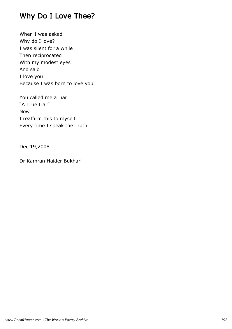### Why Do I Love Thee?

When I was asked Why do I love? I was silent for a while Then reciprocated With my modest eyes And said I love you Because I was born to love you

You called me a Liar "A True Liar" Now I reaffirm this to myself Every time I speak the Truth

Dec 19,2008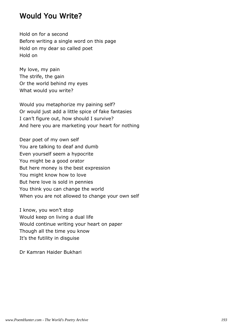#### Would You Write?

Hold on for a second Before writing a single word on this page Hold on my dear so called poet Hold on

My love, my pain The strife, the gain Or the world behind my eyes What would you write?

Would you metaphorize my paining self? Or would just add a little spice of fake fantasies I can't figure out, how should I survive? And here you are marketing your heart for nothing

Dear poet of my own self You are talking to deaf and dumb Even yourself seem a hypocrite You might be a good orator But here money is the best expression You might know how to love But here love is sold in pennies You think you can change the world When you are not allowed to change your own self

I know, you won't stop Would keep on living a dual life Would continue writing your heart on paper Though all the time you know It's the futility in disguise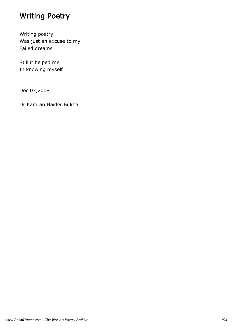### Writing Poetry

Writing poetry Was just an excuse to my Failed dreams

Still it helped me In knowing myself

Dec 07,2008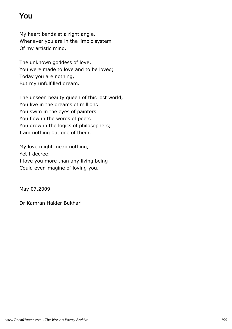# You

My heart bends at a right angle, Whenever you are in the limbic system Of my artistic mind.

The unknown goddess of love, You were made to love and to be loved; Today you are nothing, But my unfulfilled dream.

The unseen beauty queen of this lost world, You live in the dreams of millions You swim in the eyes of painters You flow in the words of poets You grow in the logics of philosophers; I am nothing but one of them.

My love might mean nothing, Yet I decree; I love you more than any living being Could ever imagine of loving you.

May 07,2009